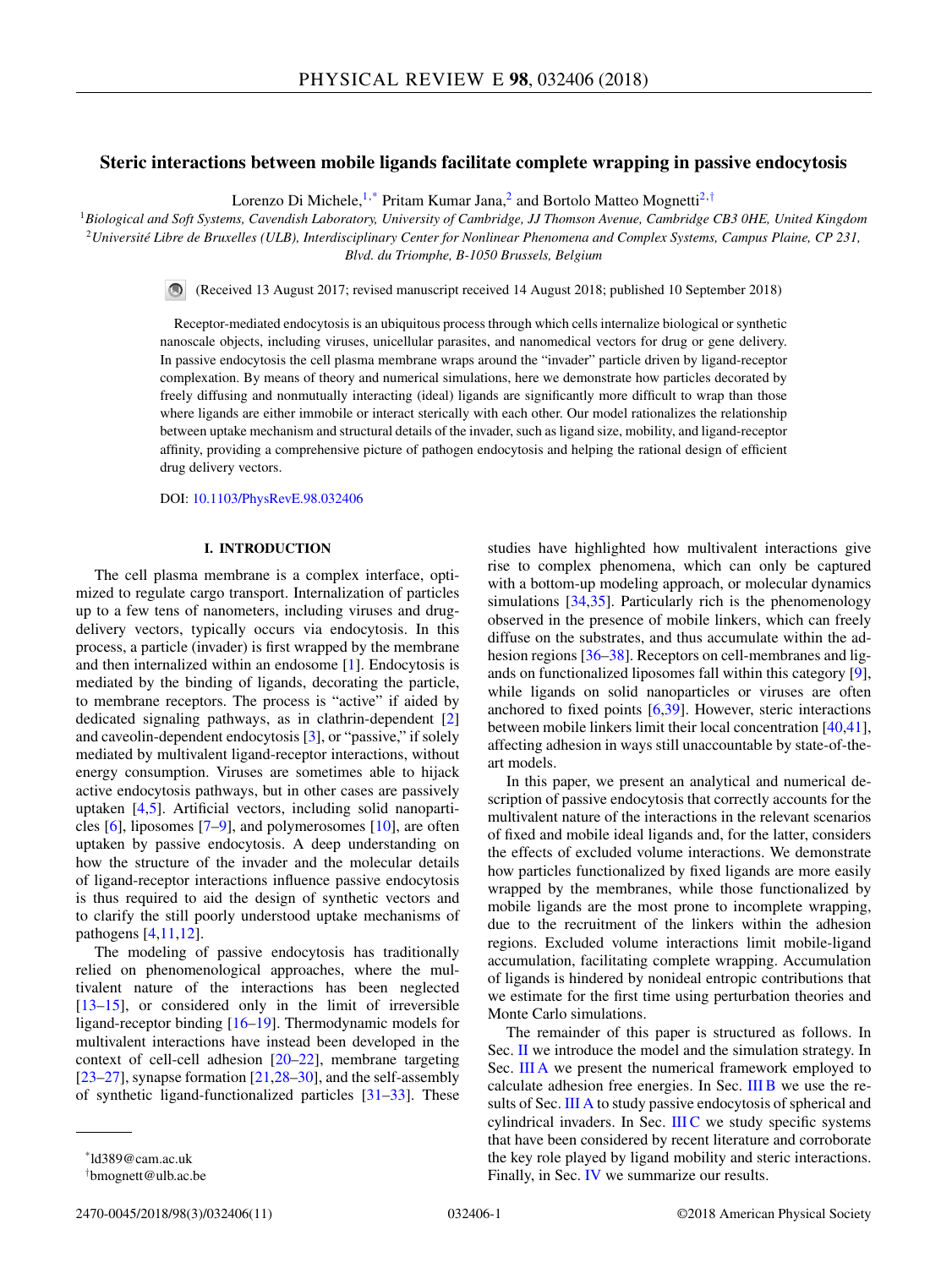# **Steric interactions between mobile ligands facilitate complete wrapping in passive endocytosis**

Lorenzo Di Michele,<sup>1,\*</sup> Pritam Kumar Jana,<sup>2</sup> and Bortolo Matteo Mognetti<sup>2,†</sup>

<sup>1</sup>*Biological and Soft Systems, Cavendish Laboratory, University of Cambridge, JJ Thomson Avenue, Cambridge CB3 0HE, United Kingdom* <sup>2</sup>*Université Libre de Bruxelles (ULB), Interdisciplinary Center for Nonlinear Phenomena and Complex Systems, Campus Plaine, CP 231, Blvd. du Triomphe, B-1050 Brussels, Belgium*

(Received 13 August 2017; revised manuscript received 14 August 2018; published 10 September 2018)

Receptor-mediated endocytosis is an ubiquitous process through which cells internalize biological or synthetic nanoscale objects, including viruses, unicellular parasites, and nanomedical vectors for drug or gene delivery. In passive endocytosis the cell plasma membrane wraps around the "invader" particle driven by ligand-receptor complexation. By means of theory and numerical simulations, here we demonstrate how particles decorated by freely diffusing and nonmutually interacting (ideal) ligands are significantly more difficult to wrap than those where ligands are either immobile or interact sterically with each other. Our model rationalizes the relationship between uptake mechanism and structural details of the invader, such as ligand size, mobility, and ligand-receptor affinity, providing a comprehensive picture of pathogen endocytosis and helping the rational design of efficient drug delivery vectors.

DOI: [10.1103/PhysRevE.98.032406](https://doi.org/10.1103/PhysRevE.98.032406)

## **I. INTRODUCTION**

The cell plasma membrane is a complex interface, optimized to regulate cargo transport. Internalization of particles up to a few tens of nanometers, including viruses and drugdelivery vectors, typically occurs via endocytosis. In this process, a particle (invader) is first wrapped by the membrane and then internalized within an endosome [\[1\]](#page-9-0). Endocytosis is mediated by the binding of ligands, decorating the particle, to membrane receptors. The process is "active" if aided by dedicated signaling pathways, as in clathrin-dependent [\[2\]](#page-9-0) and caveolin-dependent endocytosis [\[3\]](#page-9-0), or "passive," if solely mediated by multivalent ligand-receptor interactions, without energy consumption. Viruses are sometimes able to hijack active endocytosis pathways, but in other cases are passively uptaken [\[4,5\]](#page-9-0). Artificial vectors, including solid nanoparticles [\[6\]](#page-9-0), liposomes [\[7–9\]](#page-9-0), and polymerosomes [\[10\]](#page-9-0), are often uptaken by passive endocytosis. A deep understanding on how the structure of the invader and the molecular details of ligand-receptor interactions influence passive endocytosis is thus required to aid the design of synthetic vectors and to clarify the still poorly understood uptake mechanisms of pathogens [\[4,11,12\]](#page-9-0).

The modeling of passive endocytosis has traditionally relied on phenomenological approaches, where the multivalent nature of the interactions has been neglected [\[13–15\]](#page-9-0), or considered only in the limit of irreversible ligand-receptor binding [\[16–19\]](#page-9-0). Thermodynamic models for multivalent interactions have instead been developed in the context of cell-cell adhesion [\[20–22\]](#page-9-0), membrane targeting  $[23-27]$ , synapse formation  $[21,28-30]$ , and the self-assembly of synthetic ligand-functionalized particles [\[31–33\]](#page-10-0). These

2470-0045/2018/98(3)/032406(11) 032406-1 ©2018 American Physical Society

studies have highlighted how multivalent interactions give rise to complex phenomena, which can only be captured with a bottom-up modeling approach, or molecular dynamics simulations [\[34,35\]](#page-10-0). Particularly rich is the phenomenology observed in the presence of mobile linkers, which can freely diffuse on the substrates, and thus accumulate within the ad-hesion regions [\[36–38\]](#page-10-0). Receptors on cell-membranes and ligands on functionalized liposomes fall within this category [\[9\]](#page-9-0), while ligands on solid nanoparticles or viruses are often anchored to fixed points  $[6,39]$  $[6,39]$ . However, steric interactions between mobile linkers limit their local concentration [\[40,41\]](#page-10-0), affecting adhesion in ways still unaccountable by state-of-theart models.

In this paper, we present an analytical and numerical description of passive endocytosis that correctly accounts for the multivalent nature of the interactions in the relevant scenarios of fixed and mobile ideal ligands and, for the latter, considers the effects of excluded volume interactions. We demonstrate how particles functionalized by fixed ligands are more easily wrapped by the membranes, while those functionalized by mobile ligands are the most prone to incomplete wrapping, due to the recruitment of the linkers within the adhesion regions. Excluded volume interactions limit mobile-ligand accumulation, facilitating complete wrapping. Accumulation of ligands is hindered by nonideal entropic contributions that we estimate for the first time using perturbation theories and Monte Carlo simulations.

The remainder of this paper is structured as follows. In Sec. [II](#page-1-0) we introduce the model and the simulation strategy. In Sec. [III A](#page-1-0) we present the numerical framework employed to calculate adhesion free energies. In Sec. [III B](#page-2-0) we use the re-sults of Sec. [III A](#page-1-0) to study passive endocytosis of spherical and cylindrical invaders. In Sec. [III C](#page-4-0) we study specific systems that have been considered by recent literature and corroborate the key role played by ligand mobility and steric interactions. Finally, in Sec. [IV](#page-4-0) we summarize our results.

<sup>\*</sup>ld389@cam.ac.uk

<sup>†</sup> bmognett@ulb.ac.be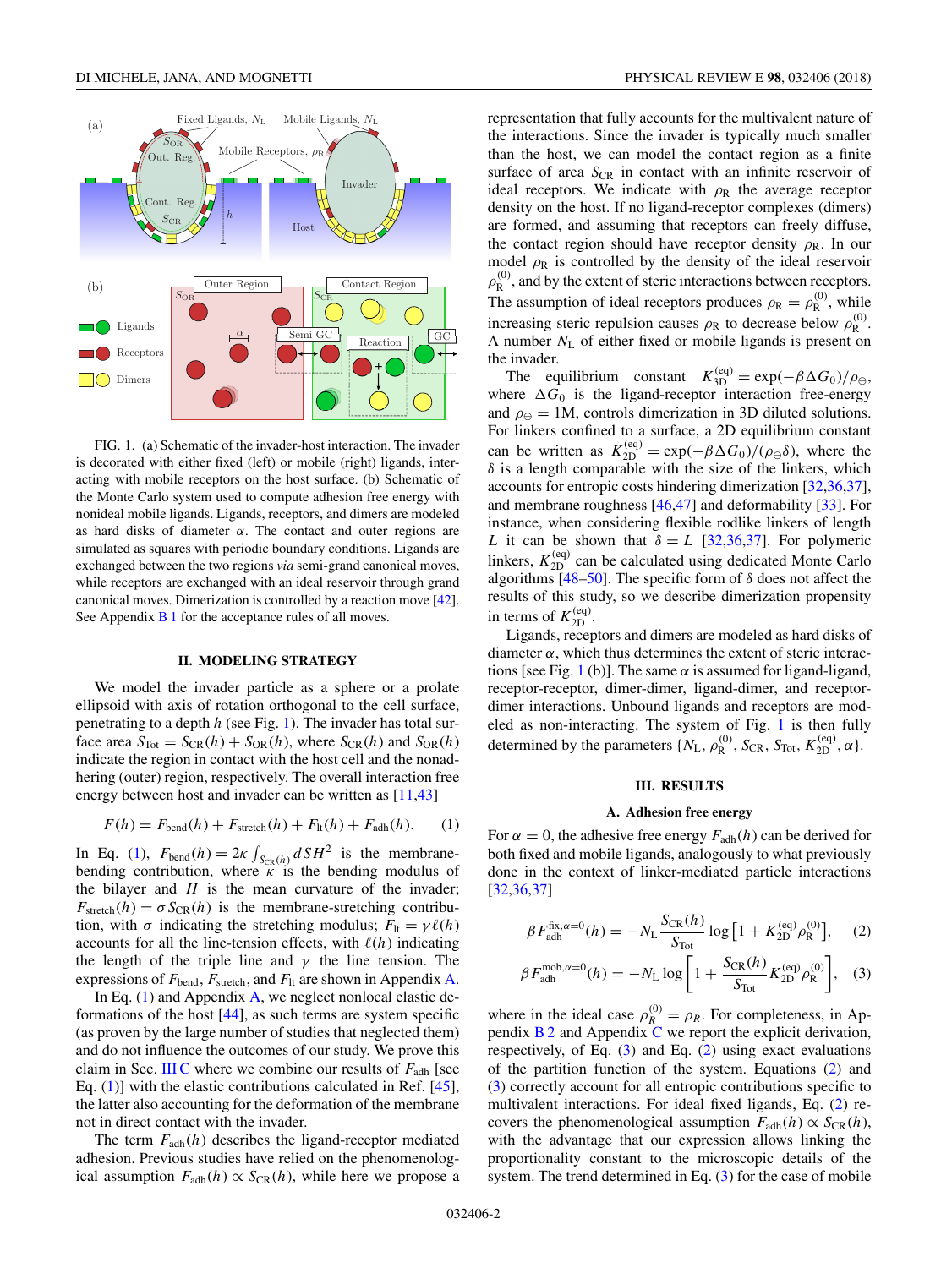<span id="page-1-0"></span>

FIG. 1. (a) Schematic of the invader-host interaction. The invader is decorated with either fixed (left) or mobile (right) ligands, interacting with mobile receptors on the host surface. (b) Schematic of the Monte Carlo system used to compute adhesion free energy with nonideal mobile ligands. Ligands, receptors, and dimers are modeled as hard disks of diameter *α*. The contact and outer regions are simulated as squares with periodic boundary conditions. Ligands are exchanged between the two regions *via* semi-grand canonical moves, while receptors are exchanged with an ideal reservoir through grand canonical moves. Dimerization is controlled by a reaction move [\[42\]](#page-10-0). See Appendix  $B_1$  for the acceptance rules of all moves.

### **II. MODELING STRATEGY**

We model the invader particle as a sphere or a prolate ellipsoid with axis of rotation orthogonal to the cell surface, penetrating to a depth *h* (see Fig. 1). The invader has total surface area  $S_{\text{Tot}} = S_{\text{CR}}(h) + S_{\text{OR}}(h)$ , where  $S_{\text{CR}}(h)$  and  $S_{\text{OR}}(h)$ indicate the region in contact with the host cell and the nonadhering (outer) region, respectively. The overall interaction free energy between host and invader can be written as [\[11,](#page-9-0)[43\]](#page-10-0)

$$
F(h) = Fbend(h) + Fstretch(h) + Flt(h) + Fadh(h).
$$
 (1)

In Eq. (1),  $F_{\text{bend}}(h) = 2\kappa \int_{S_{\text{CR}}(h)} dS H^2$  is the membranebending contribution, where *κ* is the bending modulus of the bilayer and  $H$  is the mean curvature of the invader;  $F_{\text{stretch}}(h) = \sigma S_{\text{CR}}(h)$  is the membrane-stretching contribution, with  $\sigma$  indicating the stretching modulus;  $F_{1t} = \gamma \ell(h)$ accounts for all the line-tension effects, with  $\ell(h)$  indicating the length of the triple line and  $\gamma$  the line tension. The expressions of  $F_{\text{bend}}$ ,  $F_{\text{stretch}}$ , and  $F_{\text{lt}}$  are shown in Appendix [A.](#page-6-0)

In Eq.  $(1)$  and Appendix [A,](#page-6-0) we neglect nonlocal elastic deformations of the host  $[44]$ , as such terms are system specific (as proven by the large number of studies that neglected them) and do not influence the outcomes of our study. We prove this claim in Sec. [III C](#page-4-0) where we combine our results of  $F_{\text{adh}}$  [see Eq. (1)] with the elastic contributions calculated in Ref. [\[45\]](#page-10-0), the latter also accounting for the deformation of the membrane not in direct contact with the invader.

The term  $F_{\text{adh}}(h)$  describes the ligand-receptor mediated adhesion. Previous studies have relied on the phenomenological assumption  $F_{\text{adh}}(h) \propto S_{\text{CR}}(h)$ , while here we propose a representation that fully accounts for the multivalent nature of the interactions. Since the invader is typically much smaller than the host, we can model the contact region as a finite surface of area  $S_{CR}$  in contact with an infinite reservoir of ideal receptors. We indicate with  $\rho_R$  the average receptor density on the host. If no ligand-receptor complexes (dimers) are formed, and assuming that receptors can freely diffuse, the contact region should have receptor density  $\rho_R$ . In our model  $\rho_R$  is controlled by the density of the ideal reservoir  $\rho_{\rm R}^{(0)}$ , and by the extent of steric interactions between receptors. The assumption of ideal receptors produces  $\rho_R = \rho_R^{(0)}$ , while increasing steric repulsion causes  $\rho_R$  to decrease below  $\rho_R^{(0)}$ . A number *N*<sup>L</sup> of either fixed or mobile ligands is present on the invader.

The equilibrium constant  $K_{3D}^{(eq)} = \exp(-\beta \Delta G_0)/\rho_{\ominus}$ , where  $\Delta G_0$  is the ligand-receptor interaction free-energy and  $\rho_{\Theta} = 1$ M, controls dimerization in 3D diluted solutions. For linkers confined to a surface, a 2D equilibrium constant can be written as  $K_{2D}^{(eq)} = \exp(-\beta \Delta G_0) / (\rho_{\Theta} \delta)$ , where the *δ* is a length comparable with the size of the linkers, which accounts for entropic costs hindering dimerization [\[32,36,37\]](#page-10-0), and membrane roughness [\[46,47\]](#page-10-0) and deformability [\[33\]](#page-10-0). For instance, when considering flexible rodlike linkers of length *L* it can be shown that  $\delta = L$  [\[32,36,37\]](#page-10-0). For polymeric linkers,  $K_{2D}^{(eq)}$  can be calculated using dedicated Monte Carlo algorithms  $[48-50]$ . The specific form of  $\delta$  does not affect the results of this study, so we describe dimerization propensity in terms of  $K_{2D}^{(eq)}$ .

Ligands, receptors and dimers are modeled as hard disks of diameter  $\alpha$ , which thus determines the extent of steric interactions [see Fig. 1 (b)]. The same  $\alpha$  is assumed for ligand-ligand, receptor-receptor, dimer-dimer, ligand-dimer, and receptordimer interactions. Unbound ligands and receptors are modeled as non-interacting. The system of Fig. 1 is then fully determined by the parameters  $\{N_{\rm L}, \rho_{\rm R}^{(0)}, S_{\rm CR}, S_{\rm Tot}, K_{\rm 2D}^{(\rm eq)}, \alpha\}.$ 

### **III. RESULTS**

## **A. Adhesion free energy**

For  $\alpha = 0$ , the adhesive free energy  $F_{\text{adh}}(h)$  can be derived for both fixed and mobile ligands, analogously to what previously done in the context of linker-mediated particle interactions [\[32,36,37\]](#page-10-0)

$$
\beta F_{\text{adh}}^{\text{fix}, \alpha=0}(h) = -N_{\text{L}} \frac{S_{\text{CR}}(h)}{S_{\text{Tot}}} \log \left[ 1 + K_{2\text{D}}^{(\text{eq})} \rho_{\text{R}}^{(0)} \right], \quad (2)
$$

$$
\beta F_{\text{adh}}^{\text{mob}, \alpha=0}(h) = -N_{\text{L}} \log \left[ 1 + \frac{S_{\text{CR}}(h)}{S_{\text{Tot}}} K_{\text{2D}}^{\text{(eq)}} \rho_{\text{R}}^{(0)} \right], \quad (3)
$$

where in the ideal case  $\rho_R^{(0)} = \rho_R$ . For completeness, in Appendix  $B_2$  and Appendix [C](#page-9-0) we report the explicit derivation, respectively, of Eq. (3) and Eq. (2) using exact evaluations of the partition function of the system. Equations (2) and (3) correctly account for all entropic contributions specific to multivalent interactions. For ideal fixed ligands, Eq. (2) recovers the phenomenological assumption  $F_{\text{adh}}(h) \propto S_{\text{CR}}(h)$ , with the advantage that our expression allows linking the proportionality constant to the microscopic details of the system. The trend determined in Eq. (3) for the case of mobile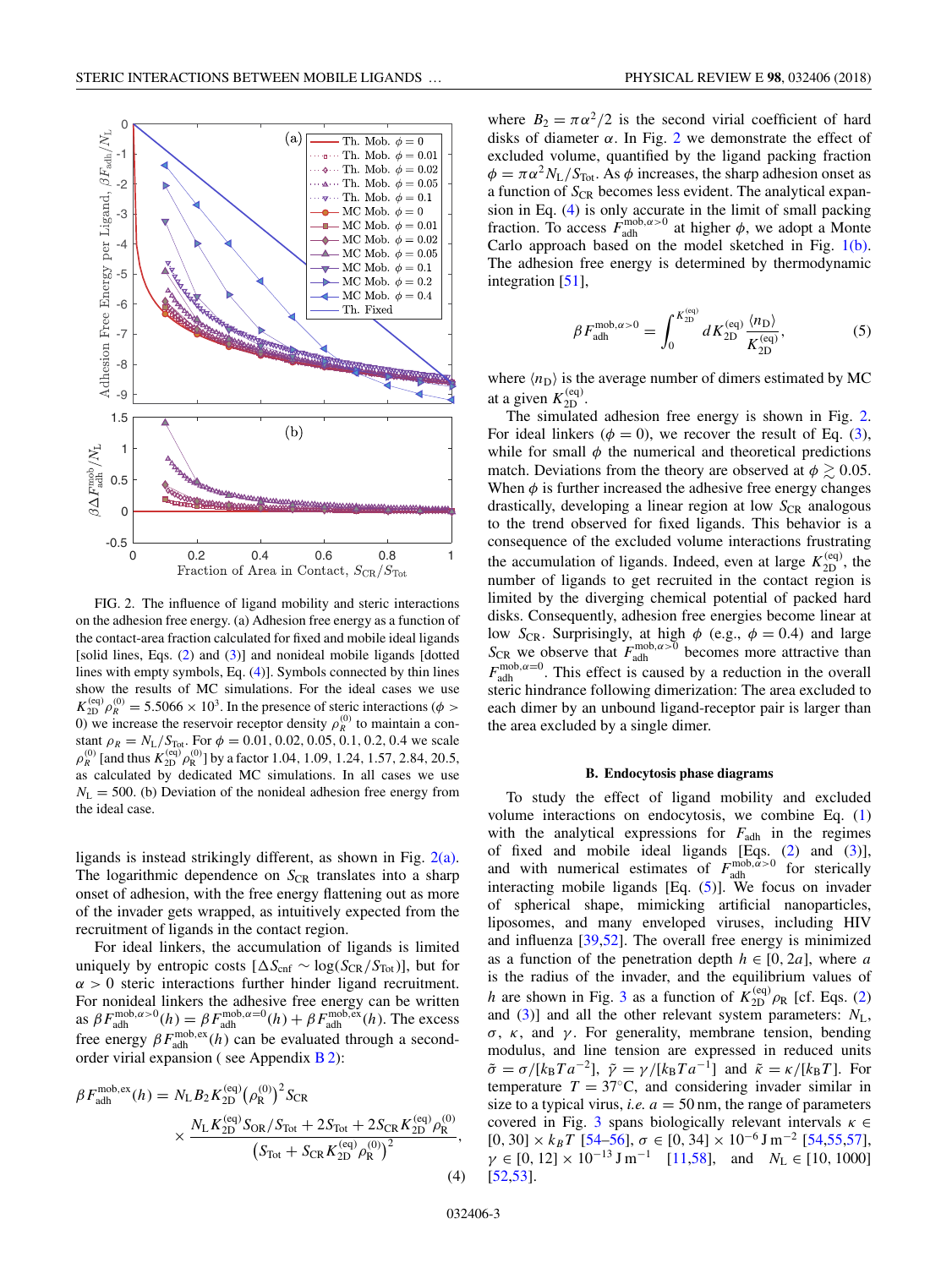<span id="page-2-0"></span>

FIG. 2. The influence of ligand mobility and steric interactions on the adhesion free energy. (a) Adhesion free energy as a function of the contact-area fraction calculated for fixed and mobile ideal ligands [solid lines, Eqs.  $(2)$  and  $(3)$ ] and nonideal mobile ligands [dotted] lines with empty symbols, Eq. (4)]. Symbols connected by thin lines show the results of MC simulations. For the ideal cases we use  $K_{2D}^{(eq)}$   $\rho_R^{(0)} = 5.5066 \times 10^3$ . In the presence of steric interactions ( $\phi >$ 0) we increase the reservoir receptor density  $\rho_R^{(0)}$  to maintain a constant  $\rho_R = N_L/S_{\text{Tot}}$ . For  $\phi = 0.01, 0.02, 0.05, 0.1, 0.2, 0.4$  we scale  $\rho_R^{(0)}$  [and thus  $K_{2D}^{(eq)} \rho_R^{(0)}$ ] by a factor 1.04*,* 1.09*,* 1.24*,* 1.57*,* 2.84*,* 20.5*,* as calculated by dedicated MC simulations. In all cases we use  $N_{\rm L}$  = 500. (b) Deviation of the nonideal adhesion free energy from the ideal case.

ligands is instead strikingly different, as shown in Fig. 2(a). The logarithmic dependence on S<sub>CR</sub> translates into a sharp onset of adhesion, with the free energy flattening out as more of the invader gets wrapped, as intuitively expected from the recruitment of ligands in the contact region.

For ideal linkers, the accumulation of ligands is limited uniquely by entropic costs  $[\Delta S_{\text{cnf}} \sim \log(S_{\text{CR}}/S_{\text{Tot}})]$ , but for  $\alpha > 0$  steric interactions further hinder ligand recruitment. For nonideal linkers the adhesive free energy can be written as  $\beta F_{\text{adh}}^{\text{mob}, \alpha > 0}(h) = \beta F_{\text{adh}}^{\text{mob}, \alpha = 0}(h) + \beta F_{\text{adh}}^{\text{mob}, \text{ex}}(h)$ . The excess free energy  $\beta F_{\text{adh}}^{\text{mob}, \text{ex}}(h)$  can be evaluated through a second-order virial expansion (see Appendix [B 2\)](#page-8-0):

$$
\beta F_{\text{adh}}^{\text{mob,ex}}(h) = N_{\text{L}} B_2 K_{\text{2D}}^{\text{(eq)}} (\rho_{\text{R}}^{\text{(0)}})^2 S_{\text{CR}} \times \frac{N_{\text{L}} K_{\text{2D}}^{\text{(eq)}} S_{\text{OR}} / S_{\text{Tot}} + 2 S_{\text{Tot}} + 2 S_{\text{CR}} K_{\text{2D}}^{\text{(eq)}} \rho_{\text{R}}^{\text{(0)}}}{\left(S_{\text{Tot}} + S_{\text{CR}} K_{\text{2D}}^{\text{(eq)}} \rho_{\text{R}}^{\text{(0)}}\right)^2},
$$
\n(4)

where  $B_2 = \pi \alpha^2 / 2$  is the second virial coefficient of hard disks of diameter  $\alpha$ . In Fig. 2 we demonstrate the effect of excluded volume, quantified by the ligand packing fraction  $\phi = \pi \alpha^2 N_L / S_{\text{Tot}}$ . As  $\phi$  increases, the sharp adhesion onset as a function of  $S_{CR}$  becomes less evident. The analytical expansion in Eq. (4) is only accurate in the limit of small packing fraction. To access  $F_{\text{adh}}^{\text{mob}, \alpha > 0}$  at higher  $\phi$ , we adopt a Monte Carlo approach based on the model sketched in Fig. [1\(b\).](#page-1-0) The adhesion free energy is determined by thermodynamic integration [\[51\]](#page-10-0),

$$
\beta F_{\text{adh}}^{\text{mob}, \alpha > 0} = \int_0^{K_{2\text{D}}^{\text{(eq)}}} dK_{2\text{D}}^{\text{(eq)}} \frac{\langle n_{\text{D}} \rangle}{K_{2\text{D}}^{\text{(eq)}}},\tag{5}
$$

where  $\langle n_{\text{D}} \rangle$  is the average number of dimers estimated by MC at a given  $K_{2D}^{(eq)}$ .

The simulated adhesion free energy is shown in Fig. 2. For ideal linkers ( $\phi = 0$ ), we recover the result of Eq. [\(3\)](#page-1-0), while for small  $\phi$  the numerical and theoretical predictions match. Deviations from the theory are observed at  $\phi \gtrsim 0.05$ . When  $\phi$  is further increased the adhesive free energy changes drastically, developing a linear region at low  $S_{CR}$  analogous to the trend observed for fixed ligands. This behavior is a consequence of the excluded volume interactions frustrating the accumulation of ligands. Indeed, even at large  $K_{2D}^{(eq)}$ , the number of ligands to get recruited in the contact region is limited by the diverging chemical potential of packed hard disks. Consequently, adhesion free energies become linear at low *S*<sub>CR</sub>. Surprisingly, at high  $\phi$  (e.g.,  $\phi = 0.4$ ) and large  $S_{CR}$  we observe that  $F_{\text{adh}}^{\text{mob}, \alpha > 0}$  becomes more attractive than  $F_{\text{adh}}^{\text{mob}, \alpha=0}$ . This effect is caused by a reduction in the overall steric hindrance following dimerization: The area excluded to each dimer by an unbound ligand-receptor pair is larger than the area excluded by a single dimer.

### **B. Endocytosis phase diagrams**

To study the effect of ligand mobility and excluded volume interactions on endocytosis, we combine Eq. [\(1\)](#page-1-0) with the analytical expressions for  $F_{\text{adh}}$  in the regimes of fixed and mobile ideal ligands [Eqs. [\(2\)](#page-1-0) and [\(3\)](#page-1-0)], and with numerical estimates of  $F_{\text{adh}}^{\text{mob}, \hat{\alpha} > 0}$  for sterically interacting mobile ligands [Eq. (5)]. We focus on invader of spherical shape, mimicking artificial nanoparticles, liposomes, and many enveloped viruses, including HIV and influenza [\[39,52\]](#page-10-0). The overall free energy is minimized as a function of the penetration depth  $h \in [0, 2a]$ , where *a* is the radius of the invader, and the equilibrium values of *h* are shown in Fig. [3](#page-3-0) as a function of  $K_{2D}^{(eq)} \rho_R$  [cf. Eqs. [\(2\)](#page-1-0) and  $(3)$ ] and all the other relevant system parameters:  $N_L$ , *σ*, *κ*, and *γ* . For generality, membrane tension, bending modulus, and line tension are expressed in reduced units  $\tilde{\sigma} = \sigma/[k_B T a^{-2}], \ \tilde{\gamma} = \gamma/[k_B T a^{-1}]$  and  $\tilde{\kappa} = \kappa/[k_B T]$ . For temperature  $T = 37$ <sup>°</sup>C, and considering invader similar in size to a typical virus, *i.e.*  $a = 50$  nm, the range of parameters covered in Fig. [3](#page-3-0) spans biologically relevant intervals *κ* ∈ [0*,* 30] × *kBT* [\[54–56\]](#page-10-0), *σ* ∈ [0*,* 34] × 10<sup>−</sup><sup>6</sup> J m<sup>−</sup><sup>2</sup> [\[54,55,57\]](#page-10-0),  $\gamma \in [0, 12] \times 10^{-13} \,\text{J m}^{-1}$  [\[11,](#page-9-0)[58\]](#page-10-0), and *N*<sub>L</sub>  $\in$  [10, 1000] [\[52,53\]](#page-10-0).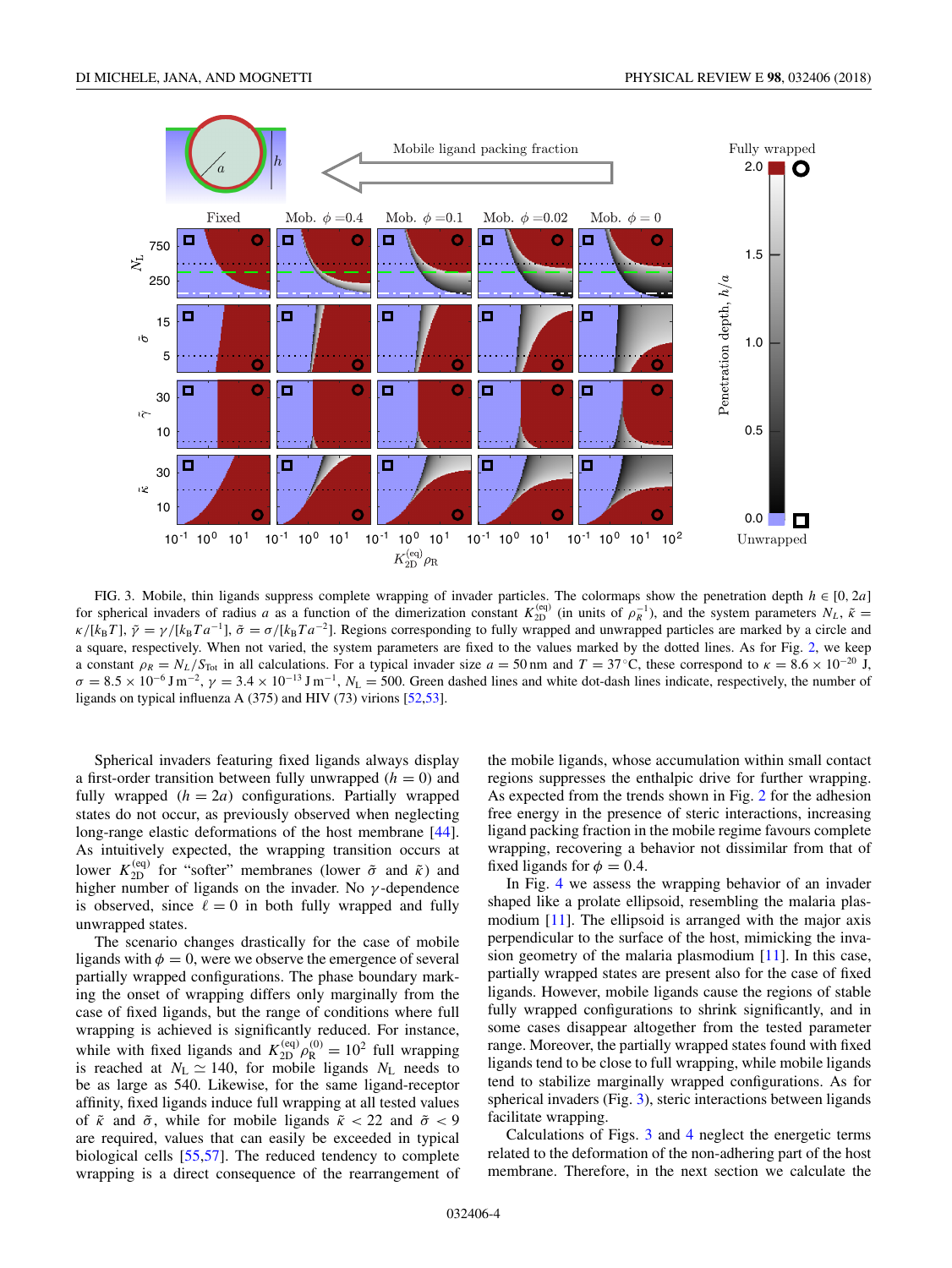<span id="page-3-0"></span>

FIG. 3. Mobile, thin ligands suppress complete wrapping of invader particles. The colormaps show the penetration depth *h* ∈ [0*,* 2*a*] for spherical invaders of radius *a* as a function of the dimerization constant  $K_{2D}^{(eq)}$  (in units of  $\rho_R^{-1}$ ), and the system parameters  $N_L$ ,  $\tilde{\kappa}$  =  $\kappa/[k_B T]$ ,  $\tilde{\gamma} = \gamma/[k_B T a^{-1}]$ ,  $\tilde{\sigma} = \sigma/[k_B T a^{-2}]$ . Regions corresponding to fully wrapped and unwrapped particles are marked by a circle and a square, respectively. When not varied, the system parameters are fixed to the values marked by the dotted lines. As for Fig. [2,](#page-2-0) we keep a constant  $\rho_R = N_L/S_{\text{Tot}}$  in all calculations. For a typical invader size  $a = 50$  nm and  $T = 37$  °C, these correspond to  $\kappa = 8.6 \times 10^{-20}$  J,  $\sigma = 8.5 \times 10^{-6}$  J m<sup>-2</sup>,  $\gamma = 3.4 \times 10^{-13}$  J m<sup>-1</sup>,  $N_L = 500$ . Green dashed lines and white dot-dash lines indicate, respectively, the number of ligands on typical influenza A (375) and HIV (73) virions [\[52,53\]](#page-10-0).

Spherical invaders featuring fixed ligands always display a first-order transition between fully unwrapped  $(h = 0)$  and fully wrapped  $(h = 2a)$  configurations. Partially wrapped states do not occur, as previously observed when neglecting long-range elastic deformations of the host membrane [\[44\]](#page-10-0). As intuitively expected, the wrapping transition occurs at lower  $K_{2D}^{(eq)}$  for "softer" membranes (lower  $\tilde{\sigma}$  and  $\tilde{\kappa}$ ) and higher number of ligands on the invader. No *γ* -dependence is observed, since  $\ell = 0$  in both fully wrapped and fully unwrapped states.

The scenario changes drastically for the case of mobile ligands with  $\phi = 0$ , were we observe the emergence of several partially wrapped configurations. The phase boundary marking the onset of wrapping differs only marginally from the case of fixed ligands, but the range of conditions where full wrapping is achieved is significantly reduced. For instance, while with fixed ligands and  $K_{2D}^{(eq)} \rho_R^{(0)} = 10^2$  full wrapping is reached at  $N_L \simeq 140$ , for mobile ligands  $N_L$  needs to be as large as 540. Likewise, for the same ligand-receptor affinity, fixed ligands induce full wrapping at all tested values of  $\tilde{\kappa}$  and  $\tilde{\sigma}$ , while for mobile ligands  $\tilde{\kappa}$  < 22 and  $\tilde{\sigma}$  < 9 are required, values that can easily be exceeded in typical biological cells [\[55,57\]](#page-10-0). The reduced tendency to complete wrapping is a direct consequence of the rearrangement of the mobile ligands, whose accumulation within small contact regions suppresses the enthalpic drive for further wrapping. As expected from the trends shown in Fig. [2](#page-2-0) for the adhesion free energy in the presence of steric interactions, increasing ligand packing fraction in the mobile regime favours complete wrapping, recovering a behavior not dissimilar from that of fixed ligands for  $\phi = 0.4$ .

In Fig. [4](#page-4-0) we assess the wrapping behavior of an invader shaped like a prolate ellipsoid, resembling the malaria plasmodium [\[11\]](#page-9-0). The ellipsoid is arranged with the major axis perpendicular to the surface of the host, mimicking the invasion geometry of the malaria plasmodium [\[11\]](#page-9-0). In this case, partially wrapped states are present also for the case of fixed ligands. However, mobile ligands cause the regions of stable fully wrapped configurations to shrink significantly, and in some cases disappear altogether from the tested parameter range. Moreover, the partially wrapped states found with fixed ligands tend to be close to full wrapping, while mobile ligands tend to stabilize marginally wrapped configurations. As for spherical invaders (Fig. 3), steric interactions between ligands facilitate wrapping.

Calculations of Figs. 3 and [4](#page-4-0) neglect the energetic terms related to the deformation of the non-adhering part of the host membrane. Therefore, in the next section we calculate the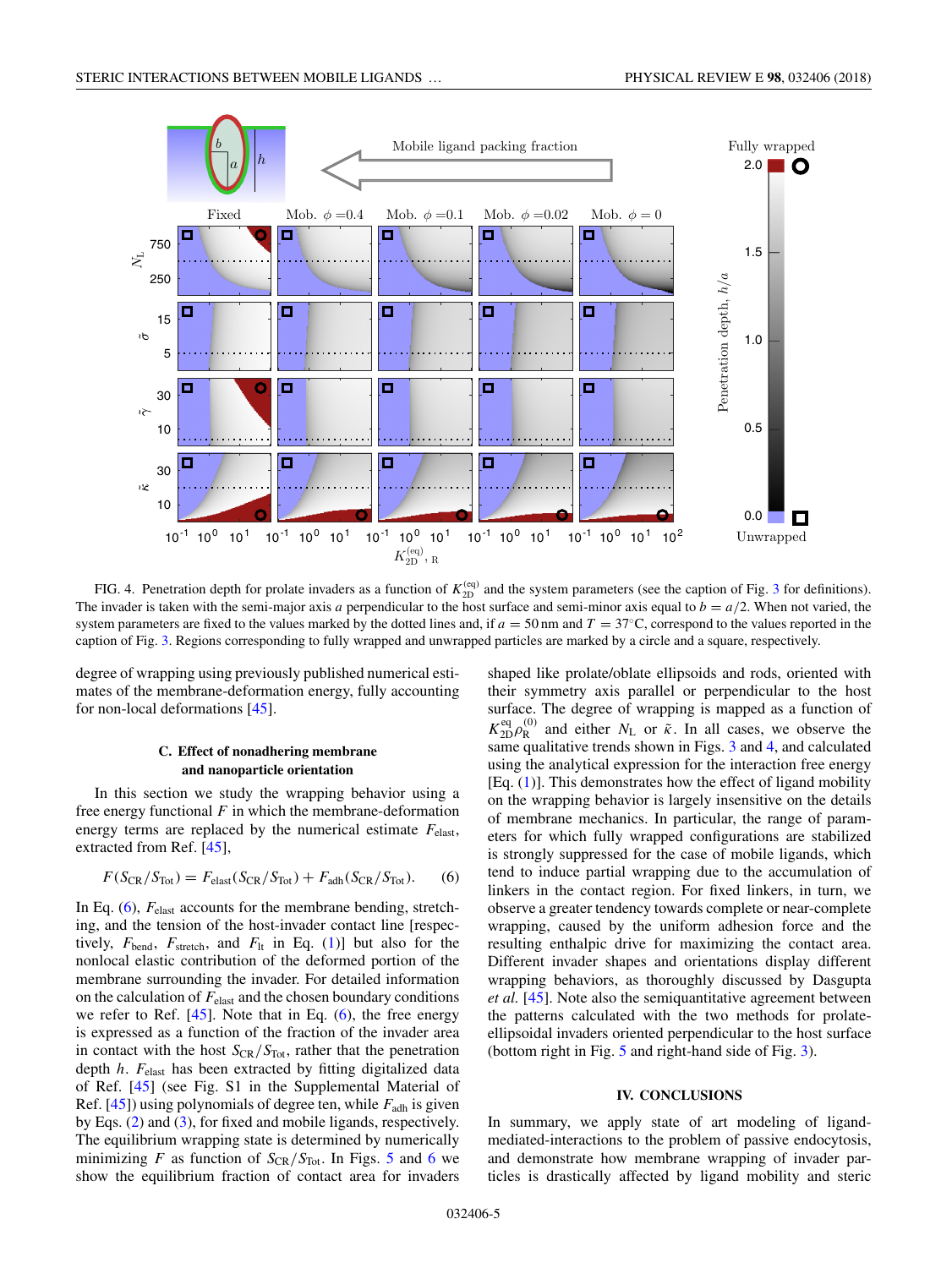<span id="page-4-0"></span>

FIG. 4. Penetration depth for prolate invaders as a function of  $K_{2D}^{(eq)}$  and the system parameters (see the caption of Fig. [3](#page-3-0) for definitions). The invader is taken with the semi-major axis *a* perpendicular to the host surface and semi-minor axis equal to  $b = a/2$ . When not varied, the system parameters are fixed to the values marked by the dotted lines and, if  $a = 50$  nm and  $T = 37^{\circ}$ C, correspond to the values reported in the caption of Fig. [3.](#page-3-0) Regions corresponding to fully wrapped and unwrapped particles are marked by a circle and a square, respectively.

degree of wrapping using previously published numerical estimates of the membrane-deformation energy, fully accounting for non-local deformations [\[45\]](#page-10-0).

## **C. Effect of nonadhering membrane and nanoparticle orientation**

In this section we study the wrapping behavior using a free energy functional  $F$  in which the membrane-deformation energy terms are replaced by the numerical estimate *F*elast, extracted from Ref. [\[45\]](#page-10-0),

$$
F(S_{CR}/S_{Tot}) = F_{elast}(S_{CR}/S_{Tot}) + F_{adh}(S_{CR}/S_{Tot}).
$$
 (6)

In Eq. (6),  $F_{\text{elast}}$  accounts for the membrane bending, stretching, and the tension of the host-invader contact line [respectively,  $F_{\text{bend}}$ ,  $F_{\text{stretch}}$ , and  $F_{\text{lt}}$  in Eq. [\(1\)](#page-1-0)] but also for the nonlocal elastic contribution of the deformed portion of the membrane surrounding the invader. For detailed information on the calculation of  $F_{\text{elast}}$  and the chosen boundary conditions we refer to Ref.  $[45]$ . Note that in Eq.  $(6)$ , the free energy is expressed as a function of the fraction of the invader area in contact with the host  $S_{CR}/S_{Tot}$ , rather that the penetration depth *h*. *F*elast has been extracted by fitting digitalized data of Ref. [\[45\]](#page-10-0) (see Fig. S1 in the Supplemental Material of Ref. [\[45\]](#page-10-0)) using polynomials of degree ten, while *F*adh is given by Eqs. [\(2\)](#page-1-0) and [\(3\)](#page-1-0), for fixed and mobile ligands, respectively. The equilibrium wrapping state is determined by numerically minimizing *F* as function of  $S_{CR}/S_{Tot}$ . In Figs. [5](#page-5-0) and [6](#page-5-0) we show the equilibrium fraction of contact area for invaders

shaped like prolate/oblate ellipsoids and rods, oriented with their symmetry axis parallel or perpendicular to the host surface. The degree of wrapping is mapped as a function of  $K_{2D}^{eq} \rho_R^{(0)}$  and either  $N_L$  or  $\tilde{\kappa}$ . In all cases, we observe the same qualitative trends shown in Figs. [3](#page-3-0) and 4, and calculated using the analytical expression for the interaction free energy [Eq.  $(1)$ ]. This demonstrates how the effect of ligand mobility on the wrapping behavior is largely insensitive on the details of membrane mechanics. In particular, the range of parameters for which fully wrapped configurations are stabilized is strongly suppressed for the case of mobile ligands, which tend to induce partial wrapping due to the accumulation of linkers in the contact region. For fixed linkers, in turn, we observe a greater tendency towards complete or near-complete wrapping, caused by the uniform adhesion force and the resulting enthalpic drive for maximizing the contact area. Different invader shapes and orientations display different wrapping behaviors, as thoroughly discussed by Dasgupta *et al.* [\[45\]](#page-10-0). Note also the semiquantitative agreement between the patterns calculated with the two methods for prolateellipsoidal invaders oriented perpendicular to the host surface (bottom right in Fig. [5](#page-5-0) and right-hand side of Fig. [3\)](#page-3-0).

## **IV. CONCLUSIONS**

In summary, we apply state of art modeling of ligandmediated-interactions to the problem of passive endocytosis, and demonstrate how membrane wrapping of invader particles is drastically affected by ligand mobility and steric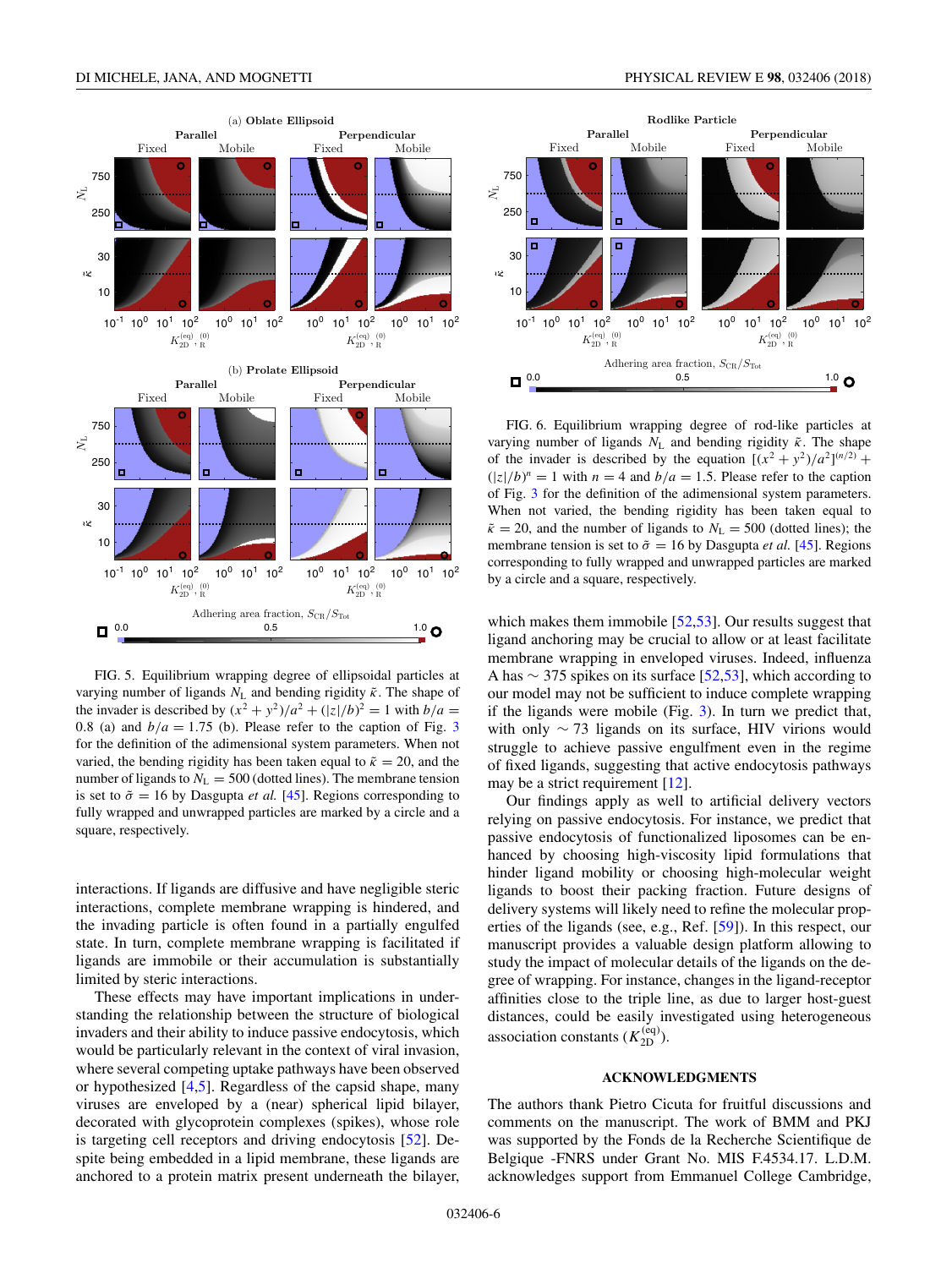<span id="page-5-0"></span>

FIG. 5. Equilibrium wrapping degree of ellipsoidal particles at varying number of ligands *N*<sup>L</sup> and bending rigidity ˜*κ*. The shape of the invader is described by  $(x^2 + y^2)/a^2 + (|z|/b)^2 = 1$  with  $b/a =$ 0.8 (a) and  $b/a = 1.75$  (b). Please refer to the caption of Fig. [3](#page-3-0) for the definition of the adimensional system parameters. When not varied, the bending rigidity has been taken equal to  $\tilde{\kappa} = 20$ , and the number of ligands to  $N_L = 500$  (dotted lines). The membrane tension is set to  $\tilde{\sigma} = 16$  by Dasgupta *et al.* [\[45\]](#page-10-0). Regions corresponding to fully wrapped and unwrapped particles are marked by a circle and a square, respectively.

interactions. If ligands are diffusive and have negligible steric interactions, complete membrane wrapping is hindered, and the invading particle is often found in a partially engulfed state. In turn, complete membrane wrapping is facilitated if ligands are immobile or their accumulation is substantially limited by steric interactions.

These effects may have important implications in understanding the relationship between the structure of biological invaders and their ability to induce passive endocytosis, which would be particularly relevant in the context of viral invasion, where several competing uptake pathways have been observed or hypothesized [\[4,5\]](#page-9-0). Regardless of the capsid shape, many viruses are enveloped by a (near) spherical lipid bilayer, decorated with glycoprotein complexes (spikes), whose role is targeting cell receptors and driving endocytosis [\[52\]](#page-10-0). Despite being embedded in a lipid membrane, these ligands are anchored to a protein matrix present underneath the bilayer,



FIG. 6. Equilibrium wrapping degree of rod-like particles at varying number of ligands  $N_L$  and bending rigidity  $\tilde{\kappa}$ . The shape of the invader is described by the equation  $[(x^2 + y^2)/a^2]^{(n/2)}$  +  $(|z|/b)^n = 1$  with  $n = 4$  and  $b/a = 1.5$ . Please refer to the caption of Fig. [3](#page-3-0) for the definition of the adimensional system parameters. When not varied, the bending rigidity has been taken equal to  $\tilde{\kappa} = 20$ , and the number of ligands to  $N_L = 500$  (dotted lines); the membrane tension is set to  $\tilde{\sigma} = 16$  by Dasgupta *et al.* [\[45\]](#page-10-0). Regions corresponding to fully wrapped and unwrapped particles are marked by a circle and a square, respectively.

which makes them immobile [\[52,53\]](#page-10-0). Our results suggest that ligand anchoring may be crucial to allow or at least facilitate membrane wrapping in enveloped viruses. Indeed, influenza A has  $\sim$  375 spikes on its surface [\[52,53\]](#page-10-0), which according to our model may not be sufficient to induce complete wrapping if the ligands were mobile (Fig. [3\)](#page-3-0). In turn we predict that, with only  $\sim$  73 ligands on its surface, HIV virions would struggle to achieve passive engulfment even in the regime of fixed ligands, suggesting that active endocytosis pathways may be a strict requirement [\[12\]](#page-9-0).

Our findings apply as well to artificial delivery vectors relying on passive endocytosis. For instance, we predict that passive endocytosis of functionalized liposomes can be enhanced by choosing high-viscosity lipid formulations that hinder ligand mobility or choosing high-molecular weight ligands to boost their packing fraction. Future designs of delivery systems will likely need to refine the molecular properties of the ligands (see, e.g., Ref. [\[59\]](#page-10-0)). In this respect, our manuscript provides a valuable design platform allowing to study the impact of molecular details of the ligands on the degree of wrapping. For instance, changes in the ligand-receptor affinities close to the triple line, as due to larger host-guest distances, could be easily investigated using heterogeneous association constants  $(K_{2D}^{(eq)})$ .

### **ACKNOWLEDGMENTS**

The authors thank Pietro Cicuta for fruitful discussions and comments on the manuscript. The work of BMM and PKJ was supported by the Fonds de la Recherche Scientifique de Belgique -FNRS under Grant No. MIS F.4534.17. L.D.M. acknowledges support from Emmanuel College Cambridge,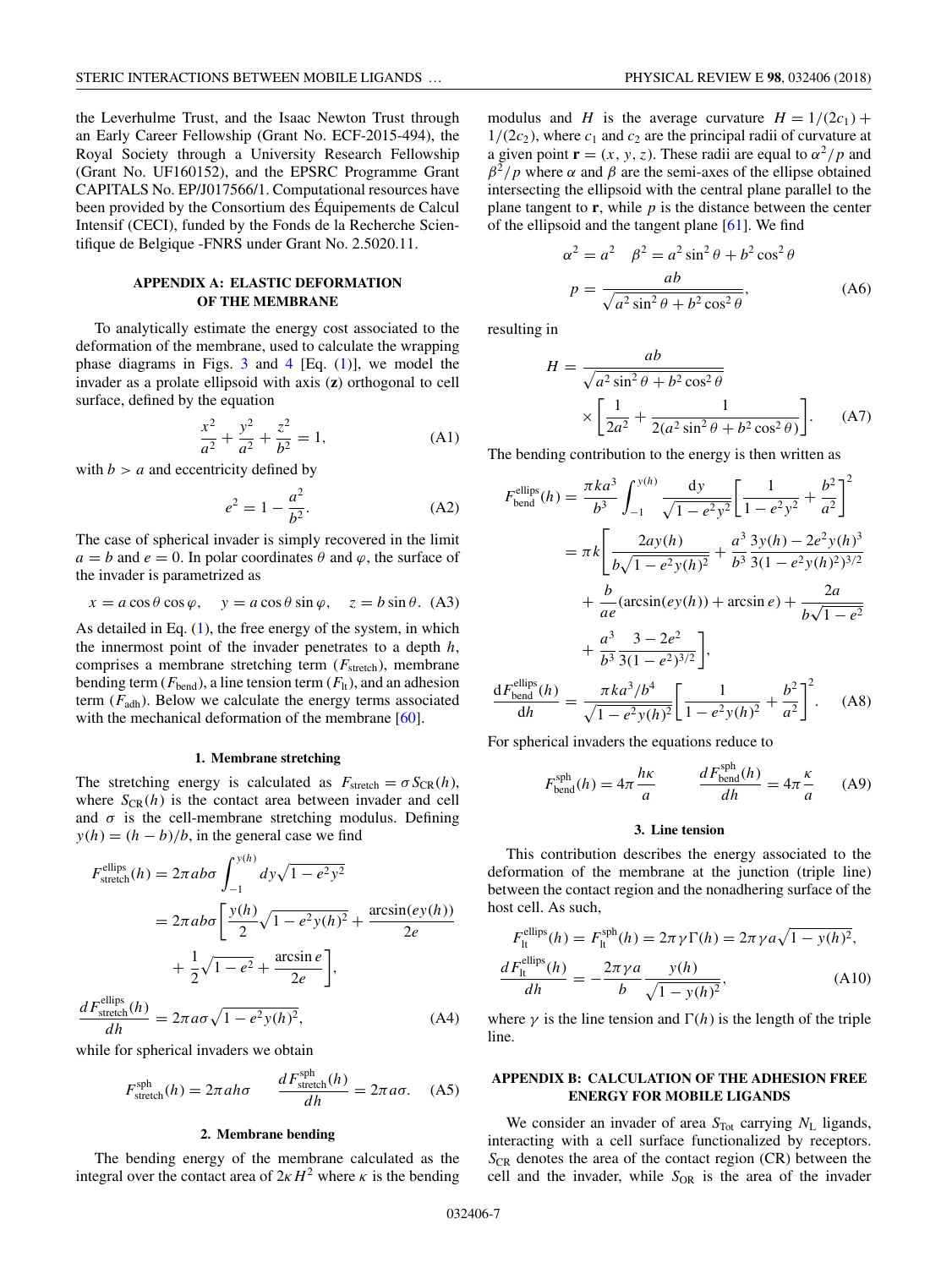<span id="page-6-0"></span>the Leverhulme Trust, and the Isaac Newton Trust through an Early Career Fellowship (Grant No. ECF-2015-494), the Royal Society through a University Research Fellowship (Grant No. UF160152), and the EPSRC Programme Grant CAPITALS No. EP/J017566/1. Computational resources have been provided by the Consortium des Équipements de Calcul Intensif (CECI), funded by the Fonds de la Recherche Scientifique de Belgique -FNRS under Grant No. 2.5020.11.

# **APPENDIX A: ELASTIC DEFORMATION OF THE MEMBRANE**

To analytically estimate the energy cost associated to the deformation of the membrane, used to calculate the wrapping phase diagrams in Figs.  $3$  and  $4$  [Eq. [\(1\)](#page-1-0)], we model the invader as a prolate ellipsoid with axis (**z**) orthogonal to cell surface, defined by the equation

$$
\frac{x^2}{a^2} + \frac{y^2}{a^2} + \frac{z^2}{b^2} = 1,
$$
 (A1)

with  $b > a$  and eccentricity defined by

$$
e^2 = 1 - \frac{a^2}{b^2}.
$$
 (A2)

The case of spherical invader is simply recovered in the limit  $a = b$  and  $e = 0$ . In polar coordinates  $\theta$  and  $\varphi$ , the surface of the invader is parametrized as

$$
x = a \cos \theta \cos \varphi
$$
,  $y = a \cos \theta \sin \varphi$ ,  $z = b \sin \theta$ . (A3)

As detailed in Eq.  $(1)$ , the free energy of the system, in which the innermost point of the invader penetrates to a depth *h*, comprises a membrane stretching term ( $F<sub>stretch</sub>$ ), membrane bending term  $(F_{\text{bend}})$ , a line tension term  $(F_{\text{lt}})$ , and an adhesion term  $(F_{\text{adh}})$ . Below we calculate the energy terms associated with the mechanical deformation of the membrane [\[60\]](#page-10-0).

#### **1. Membrane stretching**

The stretching energy is calculated as  $F_{\text{stretch}} = \sigma S_{\text{CR}}(h)$ , where  $S_{CR}(h)$  is the contact area between invader and cell and  $\sigma$  is the cell-membrane stretching modulus. Defining  $y(h) = (h - b)/b$ , in the general case we find

$$
F_{\text{stretch}}^{\text{ellips}}(h) = 2\pi ab\sigma \int_{-1}^{y(h)} dy \sqrt{1 - e^2 y^2}
$$
  
= 
$$
2\pi ab\sigma \left[ \frac{y(h)}{2} \sqrt{1 - e^2 y(h)^2} + \frac{\arcsin(ey(h))}{2e} + \frac{1}{2} \sqrt{1 - e^2} + \frac{\arcsin e}{2e} \right],
$$

$$
\frac{dF_{\text{stretch}}^{\text{ellips}}(h)}{dh} = 2\pi a \sigma \sqrt{1 - e^2 y(h)^2},\tag{A4}
$$

while for spherical invaders we obtain

$$
F_{\text{stretch}}^{\text{sph}}(h) = 2\pi ah\sigma \qquad \frac{dF_{\text{stretch}}^{\text{sph}}(h)}{dh} = 2\pi a\sigma. \quad (A5)
$$

### **2. Membrane bending**

The bending energy of the membrane calculated as the integral over the contact area of  $2 \kappa H^2$  where  $\kappa$  is the bending

modulus and *H* is the average curvature  $H = 1/(2c_1) +$  $1/(2c_2)$ , where  $c_1$  and  $c_2$  are the principal radii of curvature at a given point  $\mathbf{r} = (x, y, z)$ . These radii are equal to  $\alpha^2/p$  and  $β<sup>2</sup>/p$  where *α* and *β* are the semi-axes of the ellipse obtained intersecting the ellipsoid with the central plane parallel to the plane tangent to  $\mathbf{r}$ , while  $p$  is the distance between the center of the ellipsoid and the tangent plane [\[61\]](#page-10-0). We find

$$
\alpha^2 = a^2 \quad \beta^2 = a^2 \sin^2 \theta + b^2 \cos^2 \theta
$$

$$
p = \frac{ab}{\sqrt{a^2 \sin^2 \theta + b^2 \cos^2 \theta}},
$$
(A6)

resulting in

$$
H = \frac{ab}{\sqrt{a^2 \sin^2 \theta + b^2 \cos^2 \theta}}
$$

$$
\times \left[ \frac{1}{2a^2} + \frac{1}{2(a^2 \sin^2 \theta + b^2 \cos^2 \theta)} \right].
$$
 (A7)

The bending contribution to the energy is then written as

$$
F_{\text{bend}}^{\text{ellips}}(h) = \frac{\pi ka^3}{b^3} \int_{-1}^{y(h)} \frac{dy}{\sqrt{1 - e^2 y^2}} \left[ \frac{1}{1 - e^2 y^2} + \frac{b^2}{a^2} \right]^2
$$
  

$$
= \pi k \left[ \frac{2ay(h)}{b\sqrt{1 - e^2 y(h)^2}} + \frac{a^3}{b^3} \frac{3y(h) - 2e^2 y(h)^3}{3(1 - e^2 y(h)^2)^{3/2}} + \frac{b}{ae} (\arcsin(ey(h)) + \arcsin e) + \frac{2a}{b\sqrt{1 - e^2}} + \frac{a^3}{b^3} \frac{3 - 2e^2}{3(1 - e^2)^{3/2}} \right],
$$

$$
\frac{dF_{\text{bend}}^{\text{ellips}}(h)}{dh} = \frac{\pi ka^3/b^4}{\sqrt{1 - e^2 y(h)^2}} \left[ \frac{1}{1 - e^2 y(h)^2} + \frac{b^2}{a^2} \right]^2.
$$
 (A8)

For spherical invaders the equations reduce to

$$
F_{\text{bend}}^{\text{sph}}(h) = 4\pi \frac{h\kappa}{a} \qquad \frac{dF_{\text{bend}}^{\text{sph}}(h)}{dh} = 4\pi \frac{\kappa}{a} \qquad (A9)
$$

### **3. Line tension**

This contribution describes the energy associated to the deformation of the membrane at the junction (triple line) between the contact region and the nonadhering surface of the host cell. As such,

$$
F_{\text{It}}^{\text{ellips}}(h) = F_{\text{It}}^{\text{sph}}(h) = 2\pi \gamma \Gamma(h) = 2\pi \gamma a \sqrt{1 - y(h)^2},
$$
  

$$
\frac{dF_{\text{It}}^{\text{ellips}}(h)}{dh} = -\frac{2\pi \gamma a}{b} \frac{y(h)}{\sqrt{1 - y(h)^2}},
$$
(A10)

where  $\gamma$  is the line tension and  $\Gamma(h)$  is the length of the triple line.

## **APPENDIX B: CALCULATION OF THE ADHESION FREE ENERGY FOR MOBILE LIGANDS**

We consider an invader of area *S*<sub>Tot</sub> carrying *N*<sub>L</sub> ligands, interacting with a cell surface functionalized by receptors.  $S_{CR}$  denotes the area of the contact region (CR) between the cell and the invader, while  $S_{OR}$  is the area of the invader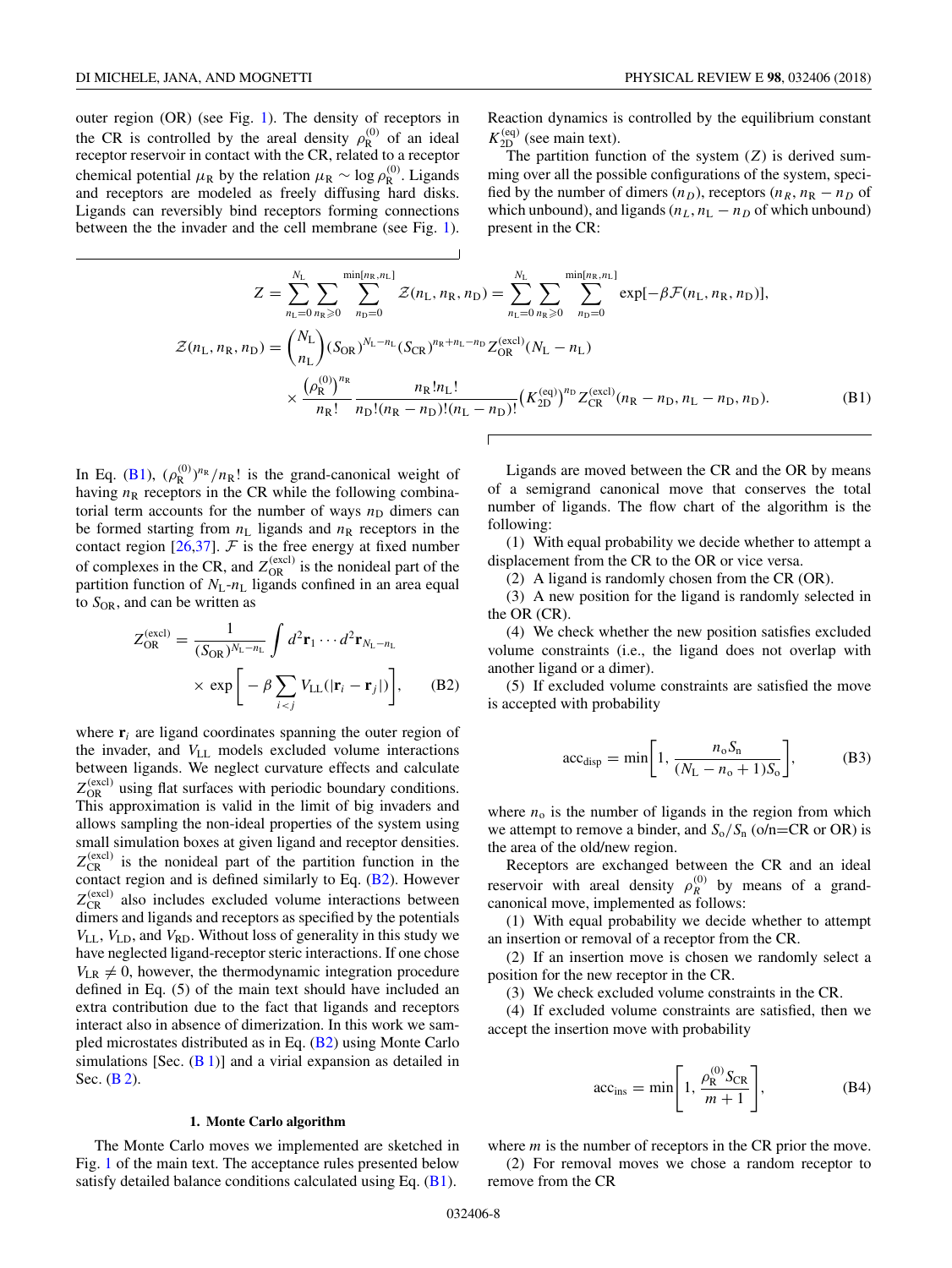<span id="page-7-0"></span>outer region (OR) (see Fig. [1\)](#page-1-0). The density of receptors in the CR is controlled by the areal density  $\rho_R^{(0)}$  of an ideal receptor reservoir in contact with the CR, related to a receptor chemical potential  $\mu_R$  by the relation  $\mu_R \sim \log \rho_R^{(0)}$ . Ligands and receptors are modeled as freely diffusing hard disks. Ligands can reversibly bind receptors forming connections between the the invader and the cell membrane (see Fig. [1\)](#page-1-0).

Reaction dynamics is controlled by the equilibrium constant  $K_{2D}^{(eq)}$  (see main text).

The partition function of the system  $(Z)$  is derived summing over all the possible configurations of the system, specified by the number of dimers  $(n_D)$ , receptors  $(n_R, n_R - n_D)$  of which unbound), and ligands  $(n_L, n_L - n_D)$  of which unbound) present in the CR:

$$
Z = \sum_{n_{\text{L}}=0}^{N_{\text{L}}} \sum_{n_{\text{R}}\geq 0} \sum_{n_{\text{D}}=0}^{\min[n_{\text{R}}, n_{\text{L}}]} \mathcal{Z}(n_{\text{L}}, n_{\text{R}}, n_{\text{D}}) = \sum_{n_{\text{L}}=0}^{N_{\text{L}}} \sum_{n_{\text{R}}\geq 0} \sum_{n_{\text{D}}=0}^{\min[n_{\text{R}}, n_{\text{L}}]} \exp[-\beta \mathcal{F}(n_{\text{L}}, n_{\text{R}}, n_{\text{D}})],
$$
  

$$
\mathcal{Z}(n_{\text{L}}, n_{\text{R}}, n_{\text{D}}) = {N_{\text{L}} \choose n_{\text{L}}} (S_{\text{OR}})^{N_{\text{L}}-n_{\text{L}}} (S_{\text{CR}})^{n_{\text{R}}+n_{\text{L}}-n_{\text{D}}} Z_{\text{OR}}^{(\text{excl})}(N_{\text{L}}-n_{\text{L}})
$$
  

$$
\times \frac{(\rho_{\text{R}}^{(0)})^{n_{\text{R}}}}{n_{\text{R}}!} \frac{n_{\text{R}}!n_{\text{L}}!}{n_{\text{D}}!(n_{\text{R}}-n_{\text{D}})!(n_{\text{L}}-n_{\text{D}})!} (K_{\text{2D}}^{(\text{eq})})^{n_{\text{D}}} Z_{\text{CR}}^{(\text{excl})}(n_{\text{R}}-n_{\text{D}}, n_{\text{L}}-n_{\text{D}}, n_{\text{D}}).
$$
(B1)

In Eq. (B1),  $(\rho_R^{(0)})^{n_R}/n_R!$  is the grand-canonical weight of having  $n<sub>R</sub>$  receptors in the CR while the following combinatorial term accounts for the number of ways  $n_D$  dimers can be formed starting from  $n<sub>L</sub>$  ligands and  $n<sub>R</sub>$  receptors in the contact region [\[26](#page-9-0)[,37\]](#page-10-0).  $F$  is the free energy at fixed number of complexes in the CR, and  $Z_{OR}^{(excl)}$  is the nonideal part of the partition function of  $N_L$ - $n_L$  ligands confined in an area equal to  $S_{OR}$ , and can be written as

$$
Z_{\text{OR}}^{(\text{excl})} = \frac{1}{(S_{\text{OR}})^{N_{\text{L}} - n_{\text{L}}}} \int d^2 \mathbf{r}_1 \cdots d^2 \mathbf{r}_{N_{\text{L}} - n_{\text{L}}}
$$

$$
\times \exp\left[ -\beta \sum_{i < j} V_{\text{LL}} (|\mathbf{r}_i - \mathbf{r}_j|) \right], \qquad (B2)
$$

where  $\mathbf{r}_i$  are ligand coordinates spanning the outer region of the invader, and  $V_{LL}$  models excluded volume interactions between ligands. We neglect curvature effects and calculate  $Z_{OR}^{(excl)}$  using flat surfaces with periodic boundary conditions. This approximation is valid in the limit of big invaders and allows sampling the non-ideal properties of the system using small simulation boxes at given ligand and receptor densities.  $Z_{CR}^{(excl)}$  is the nonideal part of the partition function in the contact region and is defined similarly to Eq. (B2). However  $Z_{CR}^{(excl)}$  also includes excluded volume interactions between dimers and ligands and receptors as specified by the potentials *V*LL, *V*LD, and *V*RD. Without loss of generality in this study we have neglected ligand-receptor steric interactions. If one chose  $V_{LR} \neq 0$ , however, the thermodynamic integration procedure defined in Eq. (5) of the main text should have included an extra contribution due to the fact that ligands and receptors interact also in absence of dimerization. In this work we sampled microstates distributed as in Eq.  $(B2)$  using Monte Carlo simulations [Sec.  $(B 1)$ ] and a virial expansion as detailed in Sec. (**B** 2).

#### **1. Monte Carlo algorithm**

The Monte Carlo moves we implemented are sketched in Fig. [1](#page-1-0) of the main text. The acceptance rules presented below satisfy detailed balance conditions calculated using Eq.  $(B1)$ .

Ligands are moved between the CR and the OR by means of a semigrand canonical move that conserves the total number of ligands. The flow chart of the algorithm is the following:

(1) With equal probability we decide whether to attempt a displacement from the CR to the OR or vice versa.

(2) A ligand is randomly chosen from the CR (OR).

(3) A new position for the ligand is randomly selected in the OR (CR).

(4) We check whether the new position satisfies excluded volume constraints (i.e., the ligand does not overlap with another ligand or a dimer).

(5) If excluded volume constraints are satisfied the move is accepted with probability

$$
acc_{\text{disp}} = \min\bigg[1, \frac{n_{\text{o}}S_{\text{n}}}{(N_{\text{L}} - n_{\text{o}} + 1)S_{\text{o}}}\bigg],\tag{B3}
$$

where  $n_0$  is the number of ligands in the region from which we attempt to remove a binder, and  $S_0/S_n$  (o/n=CR or OR) is the area of the old/new region.

Receptors are exchanged between the CR and an ideal reservoir with areal density  $\rho_R^{(0)}$  by means of a grandcanonical move, implemented as follows:

(1) With equal probability we decide whether to attempt an insertion or removal of a receptor from the CR.

(2) If an insertion move is chosen we randomly select a position for the new receptor in the CR.

(3) We check excluded volume constraints in the CR.

(4) If excluded volume constraints are satisfied, then we accept the insertion move with probability

$$
\text{acc}_{\text{ins}} = \min\left[1, \frac{\rho_{\text{R}}^{(0)} S_{\text{CR}}}{m+1}\right],\tag{B4}
$$

where *m* is the number of receptors in the CR prior the move.

(2) For removal moves we chose a random receptor to remove from the CR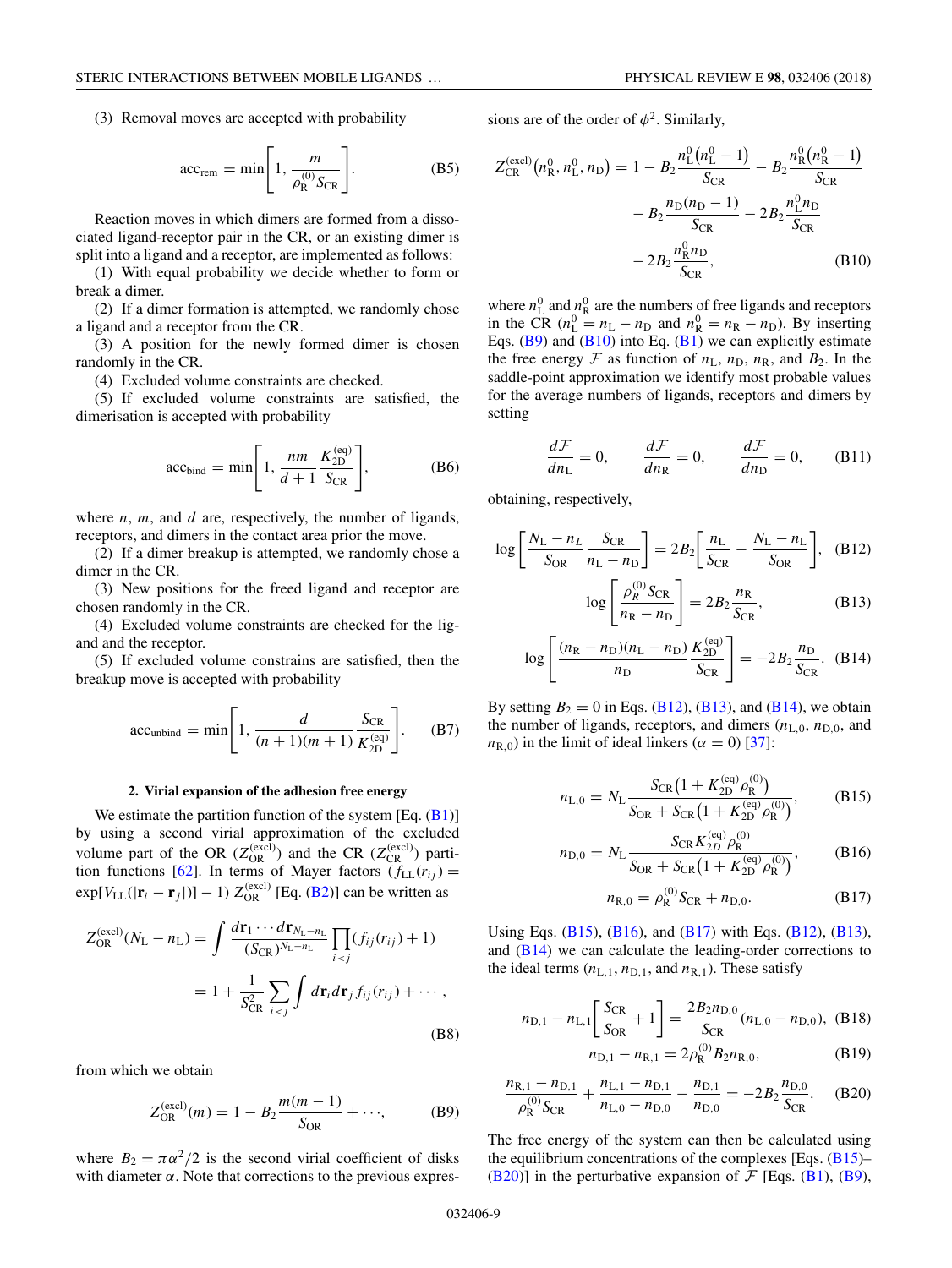<span id="page-8-0"></span>(3) Removal moves are accepted with probability

$$
\text{acc}_{\text{rem}} = \min \left[ 1, \frac{m}{\rho_{\text{R}}^{(0)} S_{\text{CR}}} \right]. \tag{B5}
$$

Reaction moves in which dimers are formed from a dissociated ligand-receptor pair in the CR, or an existing dimer is split into a ligand and a receptor, are implemented as follows:

(1) With equal probability we decide whether to form or break a dimer.

(2) If a dimer formation is attempted, we randomly chose a ligand and a receptor from the CR.

(3) A position for the newly formed dimer is chosen randomly in the CR.

(4) Excluded volume constraints are checked.

(5) If excluded volume constraints are satisfied, the dimerisation is accepted with probability

$$
\text{acc}_{\text{bind}} = \min\left[1, \frac{nm}{d+1} \frac{K_{\text{2D}}^{\text{(eq)}}}{S_{\text{CR}}}\right],\tag{B6}
$$

where *n*, *m*, and *d* are, respectively, the number of ligands, receptors, and dimers in the contact area prior the move.

(2) If a dimer breakup is attempted, we randomly chose a dimer in the CR.

(3) New positions for the freed ligand and receptor are chosen randomly in the CR.

(4) Excluded volume constraints are checked for the ligand and the receptor.

(5) If excluded volume constrains are satisfied, then the breakup move is accepted with probability

$$
\text{acc}_{\text{unbind}} = \min \left[ 1, \frac{d}{(n+1)(m+1)} \frac{S_{\text{CR}}}{K_{\text{2D}}^{\text{(eq)}}} \right]. \tag{B7}
$$

## **2. Virial expansion of the adhesion free energy**

We estimate the partition function of the system  $[Eq. (B1)]$  $[Eq. (B1)]$  $[Eq. (B1)]$ by using a second virial approximation of the excluded volume part of the OR  $(Z_{OR}^{(excl)})$  and the CR  $(Z_{CR}^{(excl)})$  parti-tion functions [\[62\]](#page-10-0). In terms of Mayer factors  $(f_{LL}(r_{ij}) =$  $\exp[V_{LL}(|\mathbf{r}_i - \mathbf{r}_j|)] - 1] Z_{OR}^{(excl)}$  [Eq. [\(B2\)](#page-7-0)] can be written as

$$
Z_{\text{OR}}^{(\text{excl})}(N_{\text{L}} - n_{\text{L}}) = \int \frac{d\mathbf{r}_{1} \cdots d\mathbf{r}_{N_{\text{L}} - n_{\text{L}}}}{(S_{\text{CR}})^{N_{\text{L}} - n_{\text{L}}}} \prod_{i < j} (f_{ij}(r_{ij}) + 1)
$$
\n
$$
= 1 + \frac{1}{S_{\text{CR}}^{2}} \sum_{i < j} \int d\mathbf{r}_{i} d\mathbf{r}_{j} f_{ij}(r_{ij}) + \cdots,
$$
\n(B8)

from which we obtain

$$
Z_{\text{OR}}^{(\text{excl})}(m) = 1 - B_2 \frac{m(m-1)}{S_{\text{OR}}} + \cdots,
$$
 (B9)

where  $B_2 = \pi \alpha^2 / 2$  is the second virial coefficient of disks with diameter  $\alpha$ . Note that corrections to the previous expressions are of the order of  $\phi^2$ . Similarly,

$$
Z_{CR}^{(\text{excl})}(n_{R}^{0}, n_{L}^{0}, n_{D}) = 1 - B_{2} \frac{n_{L}^{0}(n_{L}^{0} - 1)}{S_{CR}} - B_{2} \frac{n_{R}^{0}(n_{R}^{0} - 1)}{S_{CR}} - B_{2} \frac{n_{D}(n_{D} - 1)}{S_{CR}} - 2B_{2} \frac{n_{L}^{0}n_{D}}{S_{CR}} - 2B_{2} \frac{n_{R}^{0}n_{D}}{S_{CR}},
$$
(B10)

where  $n_{\rm L}^0$  and  $n_{\rm R}^0$  are the numbers of free ligands and receptors in the CR  $(n<sub>L</sub><sup>0</sup> = n<sub>L</sub> - n<sub>D</sub>$  and  $n<sub>R</sub><sup>0</sup> = n<sub>R</sub> - n<sub>D</sub>$ ). By inserting Eqs.  $(B9)$  and  $(B10)$  into Eq.  $(B1)$  we can explicitly estimate the free energy  $\mathcal F$  as function of  $n_L$ ,  $n_D$ ,  $n_R$ , and  $B_2$ . In the saddle-point approximation we identify most probable values for the average numbers of ligands, receptors and dimers by setting

$$
\frac{d\mathcal{F}}{dn_{\rm L}} = 0, \qquad \frac{d\mathcal{F}}{dn_{\rm R}} = 0, \qquad \frac{d\mathcal{F}}{dn_{\rm D}} = 0, \qquad \text{(B11)}
$$

obtaining, respectively,

$$
\log \left[ \frac{N_{\rm L} - n_{\rm L}}{S_{\rm OR}} \frac{S_{\rm CR}}{n_{\rm L} - n_{\rm D}} \right] = 2B_2 \left[ \frac{n_{\rm L}}{S_{\rm CR}} - \frac{N_{\rm L} - n_{\rm L}}{S_{\rm OR}} \right], \quad (B12)
$$

$$
\log \left[ \frac{\rho_R^{(0)} S_{\rm CR}}{n_{\rm R} - n_{\rm D}} \right] = 2B_2 \frac{n_{\rm R}}{S_{\rm CR}}, \quad (B13)
$$

$$
\log \left[ \frac{(n_{\rm R} - n_{\rm D})(n_{\rm L} - n_{\rm D})}{n_{\rm D}} \frac{K_{\rm 2D}^{\rm (eq)}}{S_{\rm CR}} \right] = -2B_2 \frac{n_{\rm D}}{S_{\rm CR}}. \quad (B14)
$$

By setting  $B_2 = 0$  in Eqs. (B12), (B13), and (B14), we obtain the number of ligands, receptors, and dimers  $(n_{L,0}, n_{D,0})$ , and  $n_{R,0}$ ) in the limit of ideal linkers ( $\alpha = 0$ ) [\[37\]](#page-10-0):

$$
n_{\text{L},0} = N_{\text{L}} \frac{S_{\text{CR}} \left( 1 + K_{2\text{D}}^{(\text{eq})} \rho_{\text{R}}^{(\text{0})} \right)}{S_{\text{OR}} + S_{\text{CR}} \left( 1 + K_{2\text{D}}^{(\text{eq})} \rho_{\text{R}}^{(\text{0})} \right)},\tag{B15}
$$

$$
n_{\rm D,0} = N_{\rm L} \frac{S_{\rm CR} K_{2D}^{\rm (eq)} \rho_{\rm R}^{(0)}}{S_{\rm OR} + S_{\rm CR} \left(1 + K_{2D}^{\rm (eq)} \rho_{\rm R}^{(0)}\right)},\tag{B16}
$$

$$
n_{R,0} = \rho_R^{(0)} S_{CR} + n_{D,0}.
$$
 (B17)

Using Eqs. (B15), (B16), and (B17) with Eqs. (B12), (B13), and  $(B14)$  we can calculate the leading-order corrections to the ideal terms  $(n_{L,1}, n_{D,1}, \text{and } n_{R,1})$ . These satisfy

$$
n_{\text{D},1} - n_{\text{L},1} \left[ \frac{S_{\text{CR}}}{S_{\text{OR}}} + 1 \right] = \frac{2B_2 n_{\text{D},0}}{S_{\text{CR}}} (n_{\text{L},0} - n_{\text{D},0}), \text{ (B18)}
$$

$$
n_{\text{D},1} - n_{\text{R},1} = 2\rho_{\text{R}}^{(0)} B_2 n_{\text{R},0},\tag{B19}
$$

$$
\frac{n_{\text{R},1} - n_{\text{D},1}}{\rho_{\text{R}}^{(0)} S_{\text{CR}}} + \frac{n_{\text{L},1} - n_{\text{D},1}}{n_{\text{L},0} - n_{\text{D},0}} - \frac{n_{\text{D},1}}{n_{\text{D},0}} = -2B_2 \frac{n_{\text{D},0}}{S_{\text{CR}}}.
$$
 (B20)

The free energy of the system can then be calculated using the equilibrium concentrations of the complexes [Eqs.  $(B15)$ – (B20)] in the perturbative expansion of  $\mathcal{F}$  [Eqs. [\(B1\)](#page-7-0), (B9),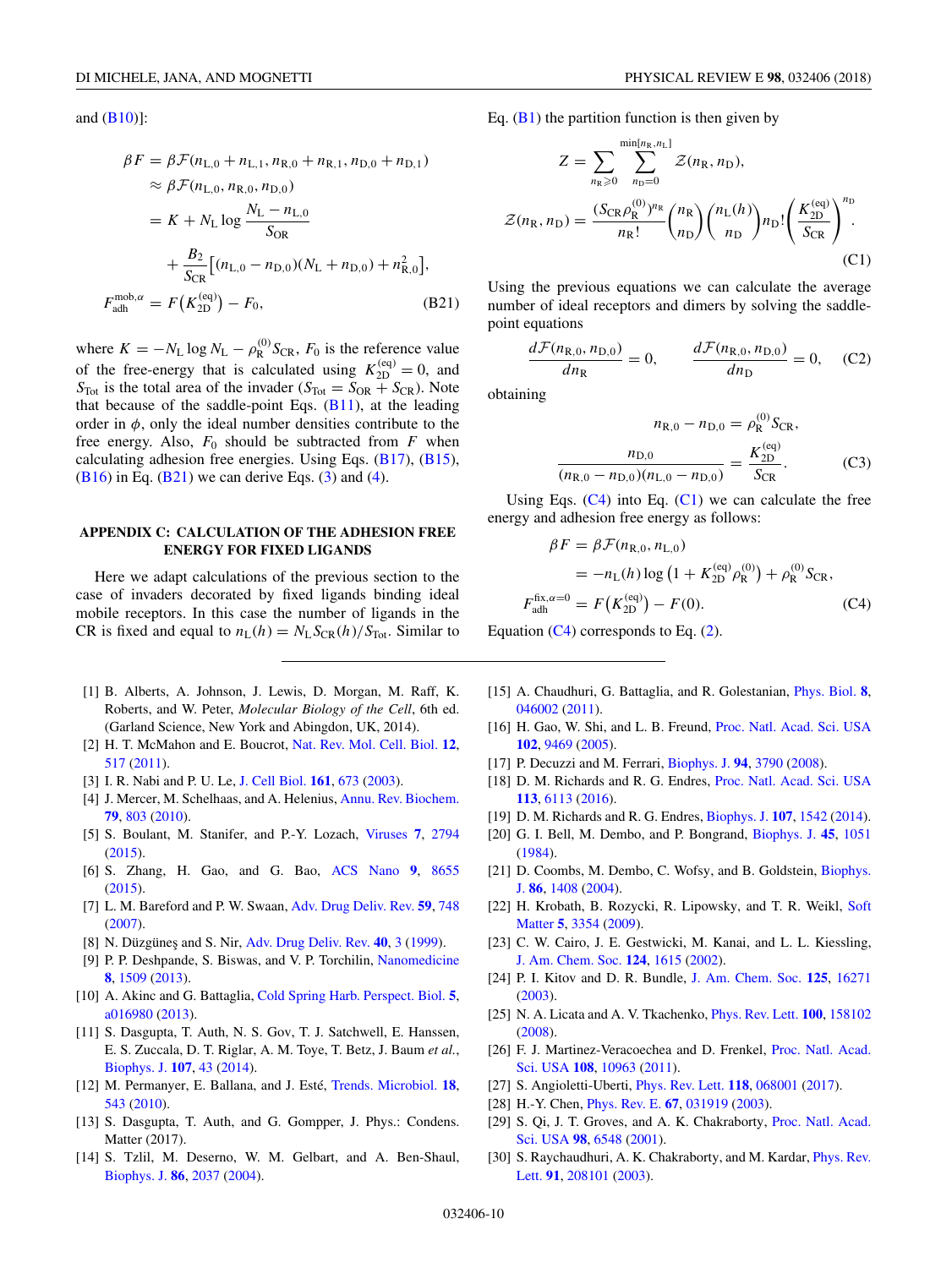<span id="page-9-0"></span>and  $(B10)$ ]:

$$
\beta F = \beta \mathcal{F}(n_{\text{L},0} + n_{\text{L},1}, n_{\text{R},0} + n_{\text{R},1}, n_{\text{D},0} + n_{\text{D},1})
$$
  
\n
$$
\approx \beta \mathcal{F}(n_{\text{L},0}, n_{\text{R},0}, n_{\text{D},0})
$$
  
\n
$$
= K + N_{\text{L}} \log \frac{N_{\text{L}} - n_{\text{L},0}}{S_{\text{OR}}}
$$
  
\n
$$
+ \frac{B_2}{S_{\text{CR}}} [(n_{\text{L},0} - n_{\text{D},0})(N_{\text{L}} + n_{\text{D},0}) + n_{\text{R},0}^2],
$$
  
\n
$$
F_{\text{adh}}^{\text{mob},\alpha} = F(K_{\text{2D}}^{\text{(eq)}}) - F_0,
$$
 (B21)

where  $K = -N_L \log N_L - \rho_R^{(0)} S_{CR}$ ,  $F_0$  is the reference value of the free-energy that is calculated using  $K_{2D}^{(eq)} = 0$ , and  $S_{\text{Tot}}$  is the total area of the invader ( $S_{\text{Tot}} = S_{\text{OR}} + S_{\text{CR}}$ ). Note that because of the saddle-point Eqs.  $(B11)$ , at the leading order in  $\phi$ , only the ideal number densities contribute to the free energy. Also,  $F_0$  should be subtracted from  $F$  when calculating adhesion free energies. Using Eqs. [\(B17\)](#page-8-0), [\(B15\)](#page-8-0), (B<sub>16</sub>) in Eq. (B<sub>21</sub>) we can derive Eqs. [\(3\)](#page-1-0) and [\(4\)](#page-2-0).

## **APPENDIX C: CALCULATION OF THE ADHESION FREE ENERGY FOR FIXED LIGANDS**

Here we adapt calculations of the previous section to the case of invaders decorated by fixed ligands binding ideal mobile receptors. In this case the number of ligands in the CR is fixed and equal to  $n_L(h) = N_L S_{CR}(h)/S_{Tot}$ . Similar to

- [1] B. Alberts, A. Johnson, J. Lewis, D. Morgan, M. Raff, K. Roberts, and W. Peter, *Molecular Biology of the Cell*, 6th ed. (Garland Science, New York and Abingdon, UK, 2014).
- [2] H. T. McMahon and E. Boucrot, [Nat. Rev. Mol. Cell. Biol.](https://doi.org/10.1038/nrm3151) **[12](https://doi.org/10.1038/nrm3151)**, [517](https://doi.org/10.1038/nrm3151) [\(2011\)](https://doi.org/10.1038/nrm3151).
- [3] I. R. Nabi and P. U. Le, [J. Cell Biol.](https://doi.org/10.1083/jcb.200302028) **[161](https://doi.org/10.1083/jcb.200302028)**, [673](https://doi.org/10.1083/jcb.200302028) [\(2003\)](https://doi.org/10.1083/jcb.200302028).
- [4] J. Mercer, M. Schelhaas, and A. Helenius, [Annu. Rev. Biochem.](https://doi.org/10.1146/annurev-biochem-060208-104626) **[79](https://doi.org/10.1146/annurev-biochem-060208-104626)**, [803](https://doi.org/10.1146/annurev-biochem-060208-104626) [\(2010\)](https://doi.org/10.1146/annurev-biochem-060208-104626).
- [5] S. Boulant, M. Stanifer, and P.-Y. Lozach, [Viruses](https://doi.org/10.3390/v7062747) **[7](https://doi.org/10.3390/v7062747)**, [2794](https://doi.org/10.3390/v7062747) [\(2015\)](https://doi.org/10.3390/v7062747).
- [6] S. Zhang, H. Gao, and G. Bao, [ACS Nano](https://doi.org/10.1021/acsnano.5b03184) **[9](https://doi.org/10.1021/acsnano.5b03184)**, [8655](https://doi.org/10.1021/acsnano.5b03184) [\(2015\)](https://doi.org/10.1021/acsnano.5b03184).
- [7] L. M. Bareford and P. W. Swaan, [Adv. Drug Deliv. Rev.](https://doi.org/10.1016/j.addr.2007.06.008) **[59](https://doi.org/10.1016/j.addr.2007.06.008)**, [748](https://doi.org/10.1016/j.addr.2007.06.008) [\(2007\)](https://doi.org/10.1016/j.addr.2007.06.008).
- [8] N. Düzgüneş and S. Nir, [Adv. Drug Deliv. Rev.](https://doi.org/10.1016/S0169-409X(99)00037-X) **[40](https://doi.org/10.1016/S0169-409X(99)00037-X)**, [3](https://doi.org/10.1016/S0169-409X(99)00037-X) [\(1999\)](https://doi.org/10.1016/S0169-409X(99)00037-X).
- [9] P. P. Deshpande, S. Biswas, and V. P. Torchilin, [Nanomedicine](https://doi.org/10.2217/nnm.13.118) **[8](https://doi.org/10.2217/nnm.13.118)**, [1509](https://doi.org/10.2217/nnm.13.118) [\(2013\)](https://doi.org/10.2217/nnm.13.118).
- [10] A. Akinc and G. Battaglia, [Cold Spring Harb. Perspect. Biol.](https://doi.org/10.1101/cshperspect.a016980) **[5](https://doi.org/10.1101/cshperspect.a016980)**, [a016980](https://doi.org/10.1101/cshperspect.a016980) [\(2013\)](https://doi.org/10.1101/cshperspect.a016980).
- [11] S. Dasgupta, T. Auth, N. S. Gov, T. J. Satchwell, E. Hanssen, E. S. Zuccala, D. T. Riglar, A. M. Toye, T. Betz, J. Baum *et al.*, [Biophys. J.](https://doi.org/10.1016/j.bpj.2014.05.024) **[107](https://doi.org/10.1016/j.bpj.2014.05.024)**, [43](https://doi.org/10.1016/j.bpj.2014.05.024) [\(2014\)](https://doi.org/10.1016/j.bpj.2014.05.024).
- [12] M. Permanyer, E. Ballana, and J. Esté, [Trends. Microbiol.](https://doi.org/10.1016/j.tim.2010.09.003) **[18](https://doi.org/10.1016/j.tim.2010.09.003)**, [543](https://doi.org/10.1016/j.tim.2010.09.003) [\(2010\)](https://doi.org/10.1016/j.tim.2010.09.003).
- [13] S. Dasgupta, T. Auth, and G. Gompper, J. Phys.: Condens. Matter (2017).
- [14] S. Tzlil, M. Deserno, W. M. Gelbart, and A. Ben-Shaul, [Biophys. J.](https://doi.org/10.1016/S0006-3495(04)74265-4) **[86](https://doi.org/10.1016/S0006-3495(04)74265-4)**, [2037](https://doi.org/10.1016/S0006-3495(04)74265-4) [\(2004\)](https://doi.org/10.1016/S0006-3495(04)74265-4).

Eq.  $(B1)$  the partition function is then given by

$$
Z = \sum_{n_{\text{R}} \geq 0} \sum_{n_{\text{D}}=0}^{\min[n_{\text{R}}, n_{\text{L}}]} Z(n_{\text{R}}, n_{\text{D}}),
$$
  

$$
Z(n_{\text{R}}, n_{\text{D}}) = \frac{(S_{\text{CR}} \rho_{\text{R}}^{(0)})^{n_{\text{R}}}}{n_{\text{R}}!} {n_{\text{R}} \choose n_{\text{D}}} {n_{\text{L}}(h) \choose n_{\text{D}}} n_{\text{D}}! \left(\frac{K_{\text{2D}}^{(\text{eq})}}{S_{\text{CR}}}\right)^{n_{\text{D}}}.
$$
  
(C1)

Using the previous equations we can calculate the average number of ideal receptors and dimers by solving the saddlepoint equations

$$
\frac{d\mathcal{F}(n_{\rm R,0}, n_{\rm D,0})}{dn_{\rm R}} = 0, \qquad \frac{d\mathcal{F}(n_{\rm R,0}, n_{\rm D,0})}{dn_{\rm D}} = 0, \quad \text{(C2)}
$$

obtaining

$$
n_{R,0} - n_{D,0} = \rho_R^{(0)} S_{CR},
$$

$$
\frac{n_{D,0}}{(n_{R,0} - n_{D,0})(n_{L,0} - n_{D,0})} = \frac{K_{2D}^{(eq)}}{S_{CR}}.
$$
(C3)

Using Eqs.  $(C4)$  into Eq.  $(C1)$  we can calculate the free energy and adhesion free energy as follows:

$$
\beta F = \beta \mathcal{F}(n_{R,0}, n_{L,0})
$$
  
=  $-n_L(h) \log (1 + K_{2D}^{(eq)} \rho_R^{(0)}) + \rho_R^{(0)} S_{CR},$   

$$
F_{\text{adh}}^{\text{fix}, \alpha=0} = F(K_{2D}^{(eq)}) - F(0).
$$
 (C4)

Equation  $(C4)$  corresponds to Eq.  $(2)$ .

- [15] A. Chaudhuri, G. Battaglia, and R. Golestanian, [Phys. Biol.](https://doi.org/10.1088/1478-3975/8/4/046002) **[8](https://doi.org/10.1088/1478-3975/8/4/046002)**, [046002](https://doi.org/10.1088/1478-3975/8/4/046002) [\(2011\)](https://doi.org/10.1088/1478-3975/8/4/046002).
- [16] H. Gao, W. Shi, and L. B. Freund, [Proc. Natl. Acad. Sci. USA](https://doi.org/10.1073/pnas.0503879102) **[102](https://doi.org/10.1073/pnas.0503879102)**, [9469](https://doi.org/10.1073/pnas.0503879102) [\(2005\)](https://doi.org/10.1073/pnas.0503879102).
- [17] P. Decuzzi and M. Ferrari, [Biophys. J.](https://doi.org/10.1529/biophysj.107.120238) **[94](https://doi.org/10.1529/biophysj.107.120238)**, [3790](https://doi.org/10.1529/biophysj.107.120238) [\(2008\)](https://doi.org/10.1529/biophysj.107.120238).
- [18] D. M. Richards and R. G. Endres, [Proc. Natl. Acad. Sci. USA](https://doi.org/10.1073/pnas.1521974113) **[113](https://doi.org/10.1073/pnas.1521974113)**, [6113](https://doi.org/10.1073/pnas.1521974113) [\(2016\)](https://doi.org/10.1073/pnas.1521974113).
- [19] D. M. Richards and R. G. Endres, [Biophys. J.](https://doi.org/10.1016/j.bpj.2014.07.070) **[107](https://doi.org/10.1016/j.bpj.2014.07.070)**, [1542](https://doi.org/10.1016/j.bpj.2014.07.070) [\(2014\)](https://doi.org/10.1016/j.bpj.2014.07.070).
- [20] G. I. Bell, M. Dembo, and P. Bongrand, [Biophys. J.](https://doi.org/10.1016/S0006-3495(84)84252-6) **[45](https://doi.org/10.1016/S0006-3495(84)84252-6)**, [1051](https://doi.org/10.1016/S0006-3495(84)84252-6) [\(1984\)](https://doi.org/10.1016/S0006-3495(84)84252-6).
- [21] [D. Coombs, M. Dembo, C. Wofsy, and B. Goldstein,](https://doi.org/10.1016/S0006-3495(04)74211-3) Biophys. J. **[86](https://doi.org/10.1016/S0006-3495(04)74211-3)**, [1408](https://doi.org/10.1016/S0006-3495(04)74211-3) [\(2004\)](https://doi.org/10.1016/S0006-3495(04)74211-3).
- [22] [H. Krobath, B. Rozycki, R. Lipowsky, and T. R. Weikl,](https://doi.org/10.1039/b902036e) Soft Matter **[5](https://doi.org/10.1039/b902036e)**, [3354](https://doi.org/10.1039/b902036e) [\(2009\)](https://doi.org/10.1039/b902036e).
- [23] C. W. Cairo, J. E. Gestwicki, M. Kanai, and L. L. Kiessling, [J. Am. Chem. Soc.](https://doi.org/10.1021/ja016727k) **[124](https://doi.org/10.1021/ja016727k)**, [1615](https://doi.org/10.1021/ja016727k) [\(2002\)](https://doi.org/10.1021/ja016727k).
- [24] P. I. Kitov and D. R. Bundle, [J. Am. Chem. Soc.](https://doi.org/10.1021/ja038223n) **[125](https://doi.org/10.1021/ja038223n)**, [16271](https://doi.org/10.1021/ja038223n) [\(2003\)](https://doi.org/10.1021/ja038223n).
- [25] N. A. Licata and A. V. Tkachenko, [Phys. Rev. Lett.](https://doi.org/10.1103/PhysRevLett.100.158102) **[100](https://doi.org/10.1103/PhysRevLett.100.158102)**, [158102](https://doi.org/10.1103/PhysRevLett.100.158102) [\(2008\)](https://doi.org/10.1103/PhysRevLett.100.158102).
- [26] [F. J. Martinez-Veracoechea and D. Frenkel,](https://doi.org/10.1073/pnas.1105351108) Proc. Natl. Acad. Sci. USA **[108](https://doi.org/10.1073/pnas.1105351108)**, [10963](https://doi.org/10.1073/pnas.1105351108) [\(2011\)](https://doi.org/10.1073/pnas.1105351108).
- [27] S. Angioletti-Uberti, [Phys. Rev. Lett.](https://doi.org/10.1103/PhysRevLett.118.068001) **[118](https://doi.org/10.1103/PhysRevLett.118.068001)**, [068001](https://doi.org/10.1103/PhysRevLett.118.068001) [\(2017\)](https://doi.org/10.1103/PhysRevLett.118.068001).
- [28] H.-Y. Chen, [Phys. Rev. E.](https://doi.org/10.1103/PhysRevE.67.031919) **[67](https://doi.org/10.1103/PhysRevE.67.031919)**, [031919](https://doi.org/10.1103/PhysRevE.67.031919) [\(2003\)](https://doi.org/10.1103/PhysRevE.67.031919).
- [29] [S. Qi, J. T. Groves, and A. K. Chakraborty,](https://doi.org/10.1073/pnas.111536798) Proc. Natl. Acad. Sci. USA **[98](https://doi.org/10.1073/pnas.111536798)**, [6548](https://doi.org/10.1073/pnas.111536798) [\(2001\)](https://doi.org/10.1073/pnas.111536798).
- [30] [S. Raychaudhuri, A. K. Chakraborty, and M. Kardar,](https://doi.org/10.1103/PhysRevLett.91.208101) *Phys. Rev.* Lett. **[91](https://doi.org/10.1103/PhysRevLett.91.208101)**, [208101](https://doi.org/10.1103/PhysRevLett.91.208101) [\(2003\)](https://doi.org/10.1103/PhysRevLett.91.208101).